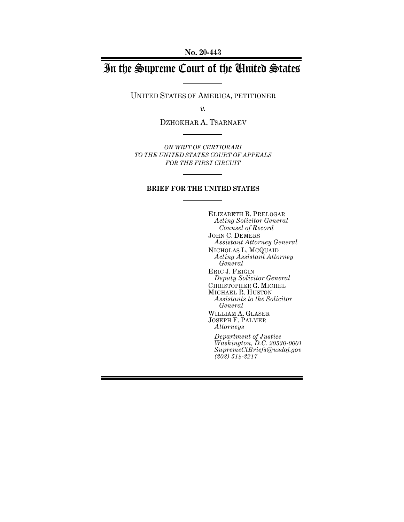**No. 20-443**

# In the Supreme Court of the United States

UNITED STATES OF AMERICA, PETITIONER

*v.*

DZHOKHAR A. TSARNAEV

*ON WRIT OF CERTIORARI TO THE UNITED STATES COURT OF APPEALS FOR THE FIRST CIRCUIT*

# **BRIEF FOR THE UNITED STATES**

ELIZABETH B. PRELOGAR *Acting Solicitor General Counsel of Record* JOHN C. DEMERS *Assistant Attorney General* NICHOLAS L. MCQUAID *Acting Assistant Attorney General* ERIC J. FEIGIN *Deputy Solicitor General* CHRISTOPHER G. MICHEL MICHAEL R. HUSTON *Assistants to the Solicitor General* WILLIAM A. GLASER JOSEPH F. PALMER *Attorneys Department of Justice Washington, D.C. 20530-0001 SupremeCtBriefs@usdoj.gov (202) 514-2217*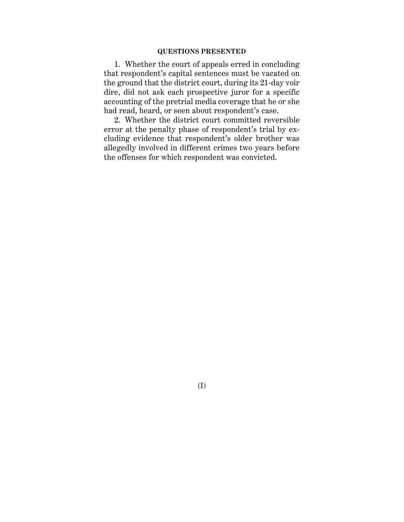# **QUESTIONS PRESENTED**

1. Whether the court of appeals erred in concluding that respondent's capital sentences must be vacated on the ground that the district court, during its 21-day voir dire, did not ask each prospective juror for a specific accounting of the pretrial media coverage that he or she had read, heard, or seen about respondent's case.

2. Whether the district court committed reversible error at the penalty phase of respondent's trial by excluding evidence that respondent's older brother was allegedly involved in different crimes two years before the offenses for which respondent was convicted.

(I)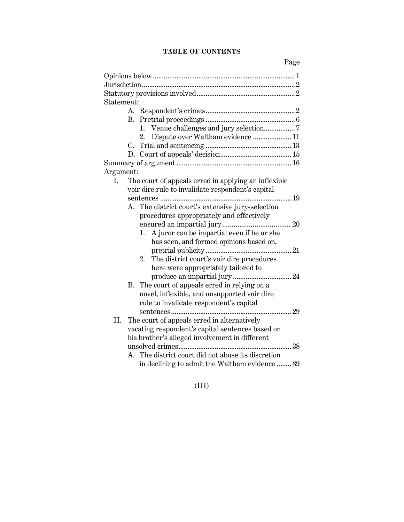# **TABLE OF CONTENTS**

| Statement: |                                                                                                    |                                                  |  |  |  |  |
|------------|----------------------------------------------------------------------------------------------------|--------------------------------------------------|--|--|--|--|
|            |                                                                                                    |                                                  |  |  |  |  |
|            |                                                                                                    |                                                  |  |  |  |  |
|            |                                                                                                    | 1. Venue challenges and jury selection7          |  |  |  |  |
|            |                                                                                                    | 2.                                               |  |  |  |  |
|            |                                                                                                    |                                                  |  |  |  |  |
|            |                                                                                                    |                                                  |  |  |  |  |
|            |                                                                                                    |                                                  |  |  |  |  |
| Argument:  |                                                                                                    |                                                  |  |  |  |  |
| L.         | The court of appeals erred in applying an inflexible                                               |                                                  |  |  |  |  |
|            | voir dire rule to invalidate respondent's capital                                                  |                                                  |  |  |  |  |
|            |                                                                                                    |                                                  |  |  |  |  |
|            |                                                                                                    | A. The district court's extensive jury-selection |  |  |  |  |
|            |                                                                                                    | procedures appropriately and effectively         |  |  |  |  |
|            |                                                                                                    |                                                  |  |  |  |  |
|            |                                                                                                    | A juror can be impartial even if he or she<br>1. |  |  |  |  |
|            |                                                                                                    | has seen, and formed opinions based on,          |  |  |  |  |
|            |                                                                                                    |                                                  |  |  |  |  |
|            |                                                                                                    | The district court's voir dire procedures<br>2.  |  |  |  |  |
|            |                                                                                                    | here were appropriately tailored to              |  |  |  |  |
|            |                                                                                                    |                                                  |  |  |  |  |
|            |                                                                                                    | B. The court of appeals erred in relying on a    |  |  |  |  |
|            |                                                                                                    | novel, inflexible, and unsupported voir dire     |  |  |  |  |
|            |                                                                                                    | rule to invalidate respondent's capital          |  |  |  |  |
|            |                                                                                                    | 29                                               |  |  |  |  |
| II.        |                                                                                                    | The court of appeals erred in alternatively      |  |  |  |  |
|            | vacating respondent's capital sentences based on<br>his brother's alleged involvement in different |                                                  |  |  |  |  |
|            |                                                                                                    |                                                  |  |  |  |  |
|            |                                                                                                    |                                                  |  |  |  |  |
|            | A.                                                                                                 | The district court did not abuse its discretion  |  |  |  |  |
|            |                                                                                                    | in declining to admit the Waltham evidence  39   |  |  |  |  |

(III)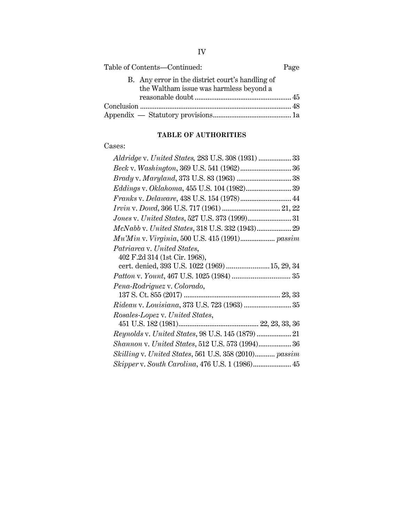| Table of Contents-Continued:                                                                |  |  |
|---------------------------------------------------------------------------------------------|--|--|
| B. Any error in the district court's handling of<br>the Waltham issue was harmless beyond a |  |  |
|                                                                                             |  |  |
|                                                                                             |  |  |
|                                                                                             |  |  |

# **TABLE OF AUTHORITIES**

# Cases:

| Aldridge v. United States, 283 U.S. 308 (1931)  33    |
|-------------------------------------------------------|
| Beck v. Washington, 369 U.S. 541 (1962) 36            |
|                                                       |
|                                                       |
|                                                       |
|                                                       |
|                                                       |
| McNabb v. United States, 318 U.S. 332 (1943) 29       |
|                                                       |
| Patriarca v. United States,                           |
| 402 F.2d 314 (1st Cir. 1968),                         |
| cert. denied, 393 U.S. 1022 (1969)  15, 29, 34        |
|                                                       |
| Pena-Rodriguez v. Colorado,                           |
|                                                       |
| Rideau v. Louisiana, 373 U.S. 723 (1963)  35          |
| Rosales-Lopez v. United States,                       |
|                                                       |
| Reynolds v. United States, 98 U.S. 145 (1879)  21     |
| Shannon v. United States, 512 U.S. 573 (1994) 36      |
| Skilling v. United States, 561 U.S. 358 (2010) passim |
| Skipper v. South Carolina, 476 U.S. 1 (1986) 45       |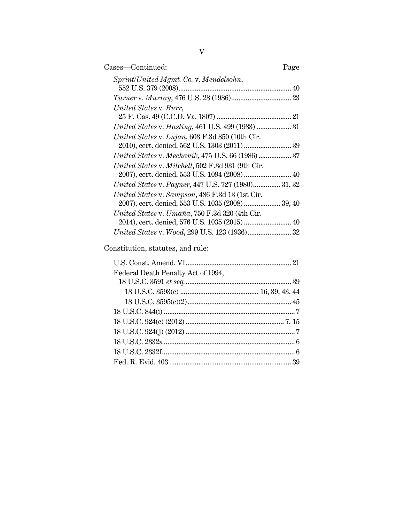| Cases—Continued:                                                                                     | Page |
|------------------------------------------------------------------------------------------------------|------|
| Sprint/United Mgmt. Co. v. Mendelsohn,                                                               |      |
|                                                                                                      |      |
| United States v. Burr,                                                                               |      |
|                                                                                                      |      |
|                                                                                                      |      |
| United States v. Lujan, 603 F.3d 850 (10th Cir.                                                      |      |
| United States v. Mechanik, 475 U.S. 66 (1986) 37                                                     |      |
| United States v. Mitchell, 502 F.3d 931 (9th Cir.<br>2007), cert. denied, 553 U.S. 1094 (2008)  40   |      |
| United States v. Payner, 447 U.S. 727 (1980) 31, 32                                                  |      |
| United States v. Sampson, 486 F.3d 13 (1st Cir.<br>2007), cert. denied, 553 U.S. 1035 (2008)  39, 40 |      |
| United States v. Umaña, 750 F.3d 320 (4th Cir.                                                       |      |
|                                                                                                      |      |
| United States v. Wood, 299 U.S. 123 (1936) 32                                                        |      |

Constitution, statutes, and rule:

| Federal Death Penalty Act of 1994, |  |
|------------------------------------|--|
|                                    |  |
|                                    |  |
|                                    |  |
|                                    |  |
|                                    |  |
|                                    |  |
|                                    |  |
|                                    |  |
|                                    |  |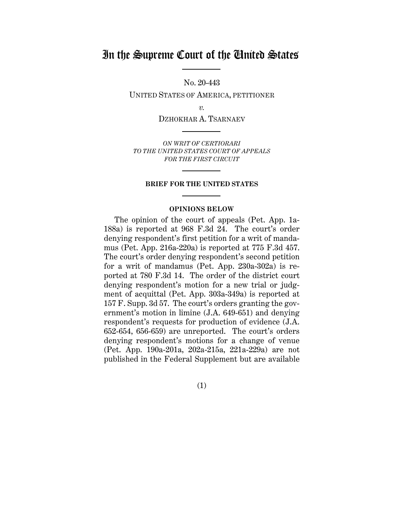# In the Supreme Court of the United States

No. 20-443

UNITED STATES OF AMERICA, PETITIONER

*v.*

DZHOKHAR A. TSARNAEV

*ON WRIT OF CERTIORARI TO THE UNITED STATES COURT OF APPEALS FOR THE FIRST CIRCUIT*

#### **BRIEF FOR THE UNITED STATES**

#### **OPINIONS BELOW**

The opinion of the court of appeals (Pet. App. 1a-188a) is reported at 968 F.3d 24. The court's order denying respondent's first petition for a writ of mandamus (Pet. App. 216a-220a) is reported at 775 F.3d 457. The court's order denying respondent's second petition for a writ of mandamus (Pet. App. 230a-302a) is reported at 780 F.3d 14. The order of the district court denying respondent's motion for a new trial or judgment of acquittal (Pet. App. 303a-349a) is reported at 157 F. Supp. 3d 57. The court's orders granting the government's motion in limine (J.A. 649-651) and denying respondent's requests for production of evidence (J.A. 652-654, 656-659) are unreported. The court's orders denying respondent's motions for a change of venue (Pet. App. 190a-201a, 202a-215a, 221a-229a) are not published in the Federal Supplement but are available

(1)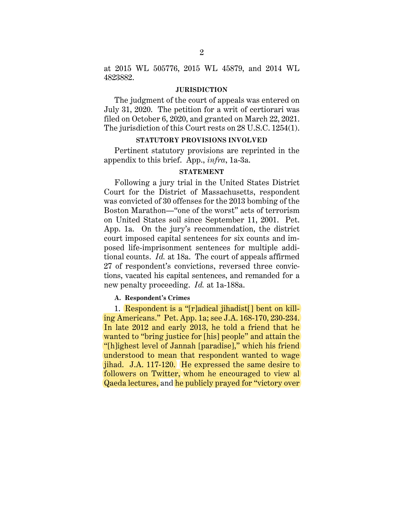at 2015 WL 505776, 2015 WL 45879, and 2014 WL 4823882.

#### **JURISDICTION**

The judgment of the court of appeals was entered on July 31, 2020. The petition for a writ of certiorari was filed on October 6, 2020, and granted on March 22, 2021. The jurisdiction of this Court rests on 28 U.S.C. 1254(1).

# **STATUTORY PROVISIONS INVOLVED**

Pertinent statutory provisions are reprinted in the appendix to this brief. App., *infra*, 1a-3a.

# **STATEMENT**

Following a jury trial in the United States District Court for the District of Massachusetts, respondent was convicted of 30 offenses for the 2013 bombing of the Boston Marathon—"one of the worst" acts of terrorism on United States soil since September 11, 2001. Pet. App. 1a. On the jury's recommendation, the district court imposed capital sentences for six counts and imposed life-imprisonment sentences for multiple additional counts. *Id.* at 18a. The court of appeals affirmed 27 of respondent's convictions, reversed three convictions, vacated his capital sentences, and remanded for a new penalty proceeding. *Id.* at 1a-188a.

#### **A. Respondent's Crimes**

1. Respondent is a "[r]adical jihadist[] bent on killing Americans." Pet. App. 1a; see J.A. 168-170, 230-234. In late 2012 and early 2013, he told a friend that he wanted to "bring justice for [his] people" and attain the "[h]ighest level of Jannah [paradise]," which his friend understood to mean that respondent wanted to wage jihad. J.A. 117-120. He expressed the same desire to followers on Twitter, whom he encouraged to view al Qaeda lectures, and he publicly prayed for "victory over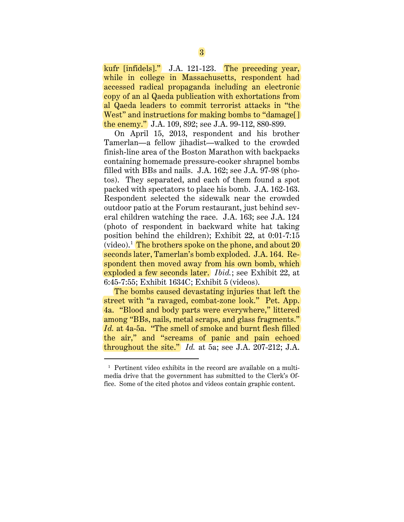kufr [infidels]." J.A. 121-123. The preceding year, while in college in Massachusetts, respondent had accessed radical propaganda including an electronic copy of an al Qaeda publication with exhortations from al Qaeda leaders to commit terrorist attacks in "the West" and instructions for making bombs to "damage<sup>[]</sup> the enemy." J.A. 109, 892; see J.A. 99-112, 880-899.

On April 15, 2013, respondent and his brother Tamerlan—a fellow jihadist—walked to the crowded finish-line area of the Boston Marathon with backpacks containing homemade pressure-cooker shrapnel bombs filled with BBs and nails. J.A. 162; see J.A. 97-98 (photos). They separated, and each of them found a spot packed with spectators to place his bomb. J.A. 162-163. Respondent selected the sidewalk near the crowded outdoor patio at the Forum restaurant, just behind several children watching the race. J.A. 163; see J.A. 124 (photo of respondent in backward white hat taking position behind the children); Exhibit 22, at 0:01-7:15 (video).<sup>1</sup> The brothers spoke on the phone, and about 20 seconds later, Tamerlan's bomb exploded. J.A. 164. Respondent then moved away from his own bomb, which exploded a few seconds later. *Ibid.*; see Exhibit 22, at 6:45-7:55; Exhibit 1634C; Exhibit 5 (videos).

The bombs caused devastating injuries that left the street with "a ravaged, combat-zone look." Pet. App. 4a. "Blood and body parts were everywhere," littered among "BBs, nails, metal scraps, and glass fragments." *Id.* at 4a-5a. "The smell of smoke and burnt flesh filled the air," and "screams of panic and pain echoed throughout the site." *Id.* at 5a; see J.A. 207-212; J.A.

 $\overline{a}$ 

 $<sup>1</sup>$  Pertinent video exhibits in the record are available on a multi-</sup> media drive that the government has submitted to the Clerk's Office. Some of the cited photos and videos contain graphic content.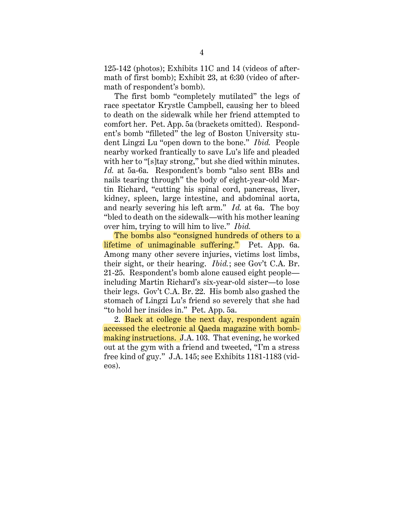125-142 (photos); Exhibits 11C and 14 (videos of aftermath of first bomb); Exhibit 23, at 6:30 (video of aftermath of respondent's bomb).

The first bomb "completely mutilated" the legs of race spectator Krystle Campbell, causing her to bleed to death on the sidewalk while her friend attempted to comfort her. Pet. App. 5a (brackets omitted). Respondent's bomb "filleted" the leg of Boston University student Lingzi Lu "open down to the bone." *Ibid.* People nearby worked frantically to save Lu's life and pleaded with her to "[s]tay strong," but she died within minutes. *Id.* at 5a-6a. Respondent's bomb "also sent BBs and nails tearing through" the body of eight-year-old Martin Richard, "cutting his spinal cord, pancreas, liver, kidney, spleen, large intestine, and abdominal aorta, and nearly severing his left arm." *Id.* at 6a. The boy "bled to death on the sidewalk—with his mother leaning over him, trying to will him to live." *Ibid.*

The bombs also "consigned hundreds of others to a lifetime of unimaginable suffering." Pet. App. 6a. Among many other severe injuries, victims lost limbs, their sight, or their hearing. *Ibid.*; see Gov't C.A. Br. 21-25. Respondent's bomb alone caused eight people including Martin Richard's six-year-old sister—to lose their legs. Gov't C.A. Br. 22. His bomb also gashed the stomach of Lingzi Lu's friend so severely that she had "to hold her insides in." Pet. App. 5a.

2. Back at college the next day, respondent again accessed the electronic al Qaeda magazine with bombmaking instructions. J.A. 103. That evening, he worked out at the gym with a friend and tweeted, "I'm a stress free kind of guy." J.A. 145; see Exhibits 1181-1183 (videos).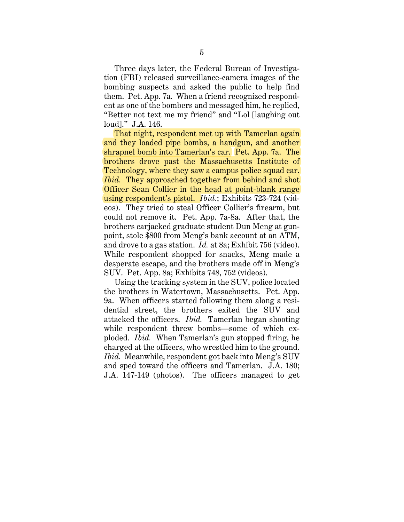Three days later, the Federal Bureau of Investigation (FBI) released surveillance-camera images of the bombing suspects and asked the public to help find them. Pet. App. 7a. When a friend recognized respondent as one of the bombers and messaged him, he replied, "Better not text me my friend" and "Lol [laughing out loud]." J.A. 146.

That night, respondent met up with Tamerlan again and they loaded pipe bombs, a handgun, and another shrapnel bomb into Tamerlan's car. Pet. App. 7a. The brothers drove past the Massachusetts Institute of Technology, where they saw a campus police squad car. *Ibid.* They approached together from behind and shot Officer Sean Collier in the head at point-blank range using respondent's pistol. *Ibid.*; Exhibits 723-724 (videos). They tried to steal Officer Collier's firearm, but could not remove it. Pet. App. 7a-8a. After that, the brothers carjacked graduate student Dun Meng at gunpoint, stole \$800 from Meng's bank account at an ATM, and drove to a gas station. *Id.* at 8a; Exhibit 756 (video). While respondent shopped for snacks, Meng made a desperate escape, and the brothers made off in Meng's SUV. Pet. App. 8a; Exhibits 748, 752 (videos).

Using the tracking system in the SUV, police located the brothers in Watertown, Massachusetts. Pet. App. 9a. When officers started following them along a residential street, the brothers exited the SUV and attacked the officers. *Ibid.* Tamerlan began shooting while respondent threw bombs—some of which exploded. *Ibid.* When Tamerlan's gun stopped firing, he charged at the officers, who wrestled him to the ground. *Ibid.* Meanwhile, respondent got back into Meng's SUV and sped toward the officers and Tamerlan. J.A. 180; J.A. 147-149 (photos). The officers managed to get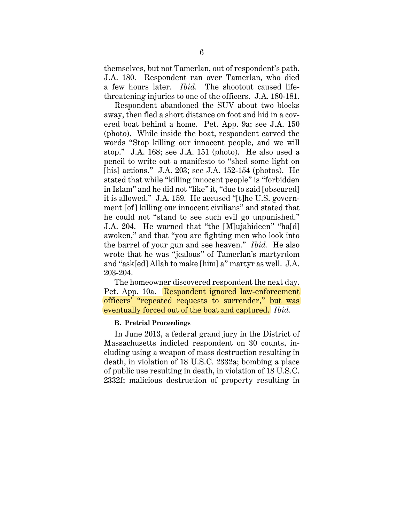themselves, but not Tamerlan, out of respondent's path. J.A. 180. Respondent ran over Tamerlan, who died a few hours later. *Ibid.* The shootout caused lifethreatening injuries to one of the officers. J.A. 180-181.

Respondent abandoned the SUV about two blocks away, then fled a short distance on foot and hid in a covered boat behind a home. Pet. App. 9a; see J.A. 150 (photo). While inside the boat, respondent carved the words "Stop killing our innocent people, and we will stop." J.A. 168; see J.A. 151 (photo). He also used a pencil to write out a manifesto to "shed some light on [his] actions." J.A. 203; see J.A. 152-154 (photos). He stated that while "killing innocent people" is "forbidden in Islam" and he did not "like" it, "due to said [obscured] it is allowed." J.A. 159. He accused "[t]he U.S. government [of] killing our innocent civilians" and stated that he could not "stand to see such evil go unpunished." J.A. 204. He warned that "the [M]ujahideen" "ha[d] awoken," and that "you are fighting men who look into the barrel of your gun and see heaven." *Ibid.* He also wrote that he was "jealous" of Tamerlan's martyrdom and "ask[ed] Allah to make [him] a" martyr as well. J.A. 203-204.

The homeowner discovered respondent the next day. Pet. App. 10a. Respondent ignored law-enforcement officers' "repeated requests to surrender," but was eventually forced out of the boat and captured. *Ibid.*

# **B. Pretrial Proceedings**

In June 2013, a federal grand jury in the District of Massachusetts indicted respondent on 30 counts, including using a weapon of mass destruction resulting in death, in violation of 18 U.S.C. 2332a; bombing a place of public use resulting in death, in violation of 18 U.S.C. 2332f; malicious destruction of property resulting in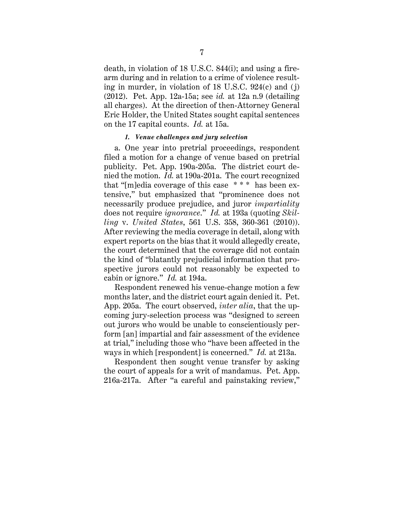death, in violation of 18 U.S.C. 844(i); and using a firearm during and in relation to a crime of violence resulting in murder, in violation of 18 U.S.C. 924(c) and (j) (2012). Pet. App. 12a-15a; see *id.* at 12a n.9 (detailing all charges). At the direction of then-Attorney General Eric Holder, the United States sought capital sentences on the 17 capital counts. *Id.* at 15a.

#### *1. Venue challenges and jury selection*

a. One year into pretrial proceedings, respondent filed a motion for a change of venue based on pretrial publicity. Pet. App. 190a-205a. The district court denied the motion. *Id.* at 190a-201a. The court recognized that "[m]edia coverage of this case \* \* \* has been extensive," but emphasized that "prominence does not necessarily produce prejudice, and juror *impartiality* does not require *ignorance*." *Id.* at 193a (quoting *Skilling* v. *United States*, 561 U.S. 358, 360-361 (2010)). After reviewing the media coverage in detail, along with expert reports on the bias that it would allegedly create, the court determined that the coverage did not contain the kind of "blatantly prejudicial information that prospective jurors could not reasonably be expected to cabin or ignore." *Id.* at 194a.

Respondent renewed his venue-change motion a few months later, and the district court again denied it. Pet. App. 205a. The court observed, *inter alia*, that the upcoming jury-selection process was "designed to screen out jurors who would be unable to conscientiously perform [an] impartial and fair assessment of the evidence at trial," including those who "have been affected in the ways in which [respondent] is concerned." *Id.* at 213a.

Respondent then sought venue transfer by asking the court of appeals for a writ of mandamus. Pet. App. 216a-217a. After "a careful and painstaking review,"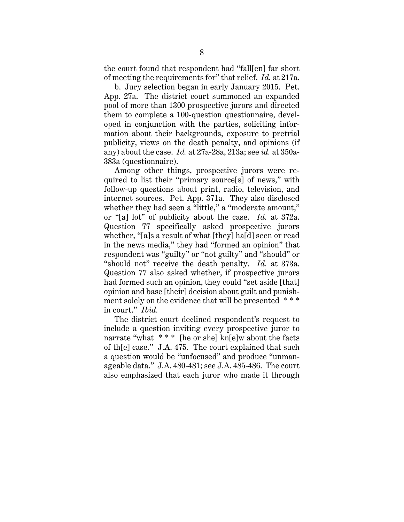the court found that respondent had "fall[en] far short of meeting the requirements for" that relief. *Id.* at 217a.

b. Jury selection began in early January 2015. Pet. App. 27a. The district court summoned an expanded pool of more than 1300 prospective jurors and directed them to complete a 100-question questionnaire, developed in conjunction with the parties, soliciting information about their backgrounds, exposure to pretrial publicity, views on the death penalty, and opinions (if any) about the case. *Id.* at 27a-28a, 213a; see *id.* at 350a-383a (questionnaire).

Among other things, prospective jurors were required to list their "primary source[s] of news," with follow-up questions about print, radio, television, and internet sources. Pet. App. 371a. They also disclosed whether they had seen a "little," a "moderate amount," or "[a] lot" of publicity about the case. *Id.* at 372a. Question 77 specifically asked prospective jurors whether, "[a]s a result of what [they] ha[d] seen or read in the news media," they had "formed an opinion" that respondent was "guilty" or "not guilty" and "should" or "should not" receive the death penalty. *Id.* at 373a. Question 77 also asked whether, if prospective jurors had formed such an opinion, they could "set aside [that] opinion and base [their] decision about guilt and punishment solely on the evidence that will be presented \*\*\* in court." *Ibid.*

The district court declined respondent's request to include a question inviting every prospective juror to narrate "what \* \* \* [he or she] kn[e]w about the facts of th[e] case." J.A. 475. The court explained that such a question would be "unfocused" and produce "unmanageable data." J.A. 480-481; see J.A. 485-486. The court also emphasized that each juror who made it through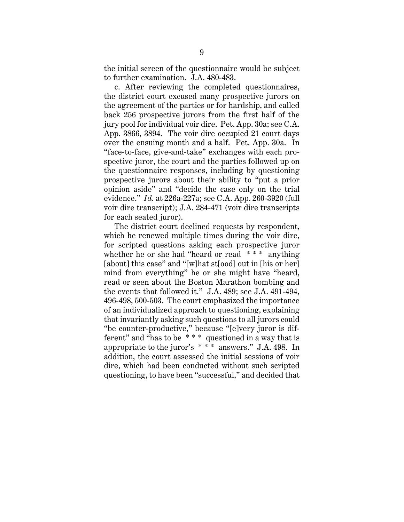the initial screen of the questionnaire would be subject to further examination. J.A. 480-483.

c. After reviewing the completed questionnaires, the district court excused many prospective jurors on the agreement of the parties or for hardship, and called back 256 prospective jurors from the first half of the jury pool for individual voir dire. Pet. App. 30a; see C.A. App. 3866, 3894. The voir dire occupied 21 court days over the ensuing month and a half. Pet. App. 30a. In "face-to-face, give-and-take" exchanges with each prospective juror, the court and the parties followed up on the questionnaire responses, including by questioning prospective jurors about their ability to "put a prior opinion aside" and "decide the case only on the trial evidence." *Id.* at 226a-227a; see C.A. App. 260-3920 (full voir dire transcript); J.A. 284-471 (voir dire transcripts for each seated juror).

The district court declined requests by respondent, which he renewed multiple times during the voir dire, for scripted questions asking each prospective juror whether he or she had "heard or read  $***$ " anything [about] this case" and "[w]hat st[ood] out in [his or her] mind from everything" he or she might have "heard, read or seen about the Boston Marathon bombing and the events that followed it." J.A. 489; see J.A. 491-494, 496-498, 500-503. The court emphasized the importance of an individualized approach to questioning, explaining that invariantly asking such questions to all jurors could "be counter-productive," because "[e]very juror is different" and "has to be \* \* \* questioned in a way that is appropriate to the juror's \* \* \* answers." J.A. 498. In addition, the court assessed the initial sessions of voir dire, which had been conducted without such scripted questioning, to have been "successful," and decided that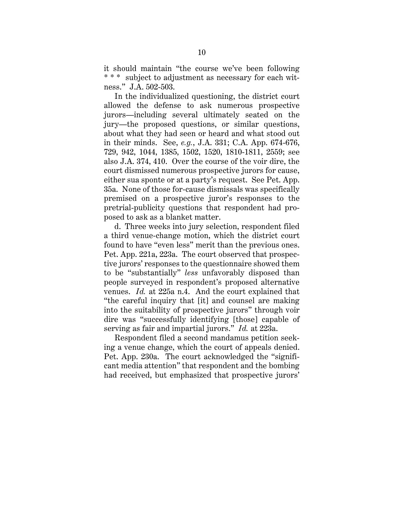it should maintain "the course we've been following \* \* \* subject to adjustment as necessary for each witness." J.A. 502-503.

In the individualized questioning, the district court allowed the defense to ask numerous prospective jurors—including several ultimately seated on the jury—the proposed questions, or similar questions, about what they had seen or heard and what stood out in their minds. See, *e.g.*, J.A. 331; C.A. App. 674-676, 729, 942, 1044, 1385, 1502, 1520, 1810-1811, 2559; see also J.A. 374, 410. Over the course of the voir dire, the court dismissed numerous prospective jurors for cause, either sua sponte or at a party's request. See Pet. App. 35a. None of those for-cause dismissals was specifically premised on a prospective juror's responses to the pretrial-publicity questions that respondent had proposed to ask as a blanket matter.

d. Three weeks into jury selection, respondent filed a third venue-change motion, which the district court found to have "even less" merit than the previous ones. Pet. App. 221a, 223a. The court observed that prospective jurors' responses to the questionnaire showed them to be "substantially" *less* unfavorably disposed than people surveyed in respondent's proposed alternative venues. *Id.* at 225a n.4. And the court explained that "the careful inquiry that [it] and counsel are making into the suitability of prospective jurors" through voir dire was "successfully identifying [those] capable of serving as fair and impartial jurors." *Id.* at 223a.

Respondent filed a second mandamus petition seeking a venue change, which the court of appeals denied. Pet. App. 230a. The court acknowledged the "significant media attention" that respondent and the bombing had received, but emphasized that prospective jurors'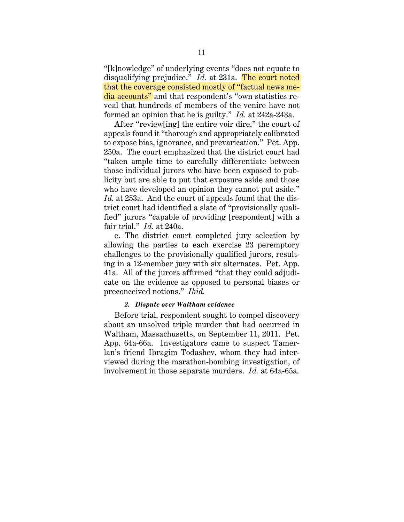"[k]nowledge" of underlying events "does not equate to disqualifying prejudice." *Id.* at 231a. The court noted that the coverage consisted mostly of "factual news media accounts" and that respondent's "own statistics reveal that hundreds of members of the venire have not formed an opinion that he is guilty." *Id.* at 242a-243a.

After "review[ing] the entire voir dire," the court of appeals found it "thorough and appropriately calibrated to expose bias, ignorance, and prevarication." Pet. App. 250a. The court emphasized that the district court had "taken ample time to carefully differentiate between those individual jurors who have been exposed to publicity but are able to put that exposure aside and those who have developed an opinion they cannot put aside." *Id.* at 253a. And the court of appeals found that the district court had identified a slate of "provisionally qualified" jurors "capable of providing [respondent] with a fair trial." *Id.* at 240a.

e. The district court completed jury selection by allowing the parties to each exercise 23 peremptory challenges to the provisionally qualified jurors, resulting in a 12-member jury with six alternates. Pet. App. 41a. All of the jurors affirmed "that they could adjudicate on the evidence as opposed to personal biases or preconceived notions." *Ibid.*

# *2. Dispute over Waltham evidence*

Before trial, respondent sought to compel discovery about an unsolved triple murder that had occurred in Waltham, Massachusetts, on September 11, 2011. Pet. App. 64a-66a. Investigators came to suspect Tamerlan's friend Ibragim Todashev, whom they had interviewed during the marathon-bombing investigation, of involvement in those separate murders. *Id.* at 64a-65a.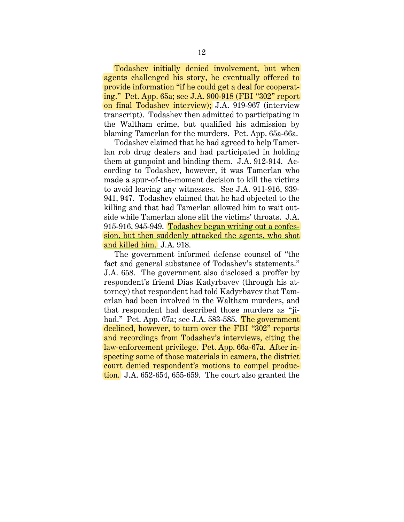Todashev initially denied involvement, but when agents challenged his story, he eventually offered to provide information "if he could get a deal for cooperating." Pet. App. 65a; see J.A. 900-918 (FBI "302" report on final Todashev interview); J.A. 919-967 (interview transcript). Todashev then admitted to participating in the Waltham crime, but qualified his admission by blaming Tamerlan for the murders. Pet. App. 65a-66a.

Todashev claimed that he had agreed to help Tamerlan rob drug dealers and had participated in holding them at gunpoint and binding them. J.A. 912-914. According to Todashev, however, it was Tamerlan who made a spur-of-the-moment decision to kill the victims to avoid leaving any witnesses. See J.A. 911-916, 939- 941, 947. Todashev claimed that he had objected to the killing and that had Tamerlan allowed him to wait outside while Tamerlan alone slit the victims' throats. J.A. 915-916, 945-949. Todashev began writing out a confession, but then suddenly attacked the agents, who shot and killed him. J.A. 918.

The government informed defense counsel of "the fact and general substance of Todashev's statements." J.A. 658. The government also disclosed a proffer by respondent's friend Dias Kadyrbavev (through his attorney) that respondent had told Kadyrbavev that Tamerlan had been involved in the Waltham murders, and that respondent had described those murders as "jihad." Pet. App. 67a; see J.A. 583-585. The government declined, however, to turn over the FBI "302" reports and recordings from Todashev's interviews, citing the law-enforcement privilege. Pet. App. 66a-67a. After inspecting some of those materials in camera, the district court denied respondent's motions to compel production. J.A. 652-654, 655-659. The court also granted the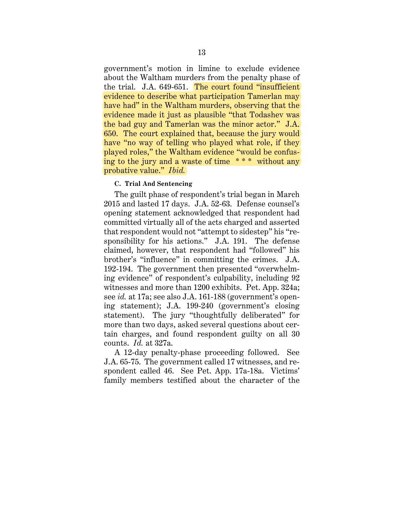government's motion in limine to exclude evidence about the Waltham murders from the penalty phase of the trial. J.A. 649-651. The court found "insufficient evidence to describe what participation Tamerlan may have had" in the Waltham murders, observing that the evidence made it just as plausible "that Todashev was the bad guy and Tamerlan was the minor actor." J.A. 650. The court explained that, because the jury would have "no way of telling who played what role, if they played roles," the Waltham evidence "would be confusing to the jury and a waste of time \* \* \* without any probative value." *Ibid.*

# **C. Trial And Sentencing**

The guilt phase of respondent's trial began in March 2015 and lasted 17 days. J.A. 52-63. Defense counsel's opening statement acknowledged that respondent had committed virtually all of the acts charged and asserted that respondent would not "attempt to sidestep" his "responsibility for his actions." J.A. 191. The defense claimed, however, that respondent had "followed" his brother's "influence" in committing the crimes. J.A. 192-194. The government then presented "overwhelming evidence" of respondent's culpability, including 92 witnesses and more than 1200 exhibits. Pet. App. 324a; see *id.* at 17a; see also J.A. 161-188 (government's opening statement); J.A. 199-240 (government's closing statement). The jury "thoughtfully deliberated" for more than two days, asked several questions about certain charges, and found respondent guilty on all 30 counts. *Id.* at 327a.

A 12-day penalty-phase proceeding followed. See J.A. 65-75. The government called 17 witnesses, and respondent called 46. See Pet. App. 17a-18a. Victims' family members testified about the character of the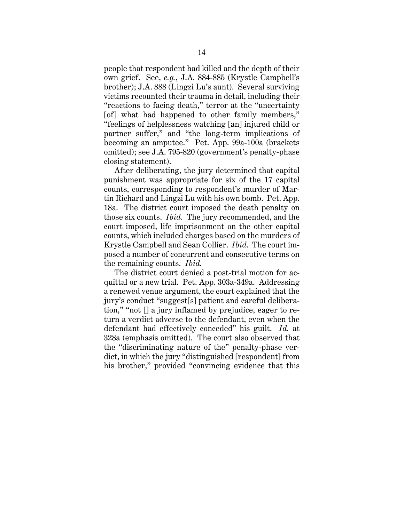people that respondent had killed and the depth of their own grief. See, *e.g.*, J.A. 884-885 (Krystle Campbell's brother); J.A. 888 (Lingzi Lu's aunt). Several surviving victims recounted their trauma in detail, including their "reactions to facing death," terror at the "uncertainty [of] what had happened to other family members," "feelings of helplessness watching [an] injured child or partner suffer," and "the long-term implications of becoming an amputee." Pet. App. 99a-100a (brackets omitted); see J.A. 795-820 (government's penalty-phase closing statement).

After deliberating, the jury determined that capital punishment was appropriate for six of the 17 capital counts, corresponding to respondent's murder of Martin Richard and Lingzi Lu with his own bomb. Pet. App. 18a. The district court imposed the death penalty on those six counts. *Ibid.* The jury recommended, and the court imposed, life imprisonment on the other capital counts, which included charges based on the murders of Krystle Campbell and Sean Collier. *Ibid*. The court imposed a number of concurrent and consecutive terms on the remaining counts. *Ibid.*

The district court denied a post-trial motion for acquittal or a new trial. Pet. App. 303a-349a. Addressing a renewed venue argument, the court explained that the jury's conduct "suggest[s] patient and careful deliberation," "not [] a jury inflamed by prejudice, eager to return a verdict adverse to the defendant, even when the defendant had effectively conceded" his guilt. *Id.* at 328a (emphasis omitted). The court also observed that the "discriminating nature of the" penalty-phase verdict, in which the jury "distinguished [respondent] from his brother," provided "convincing evidence that this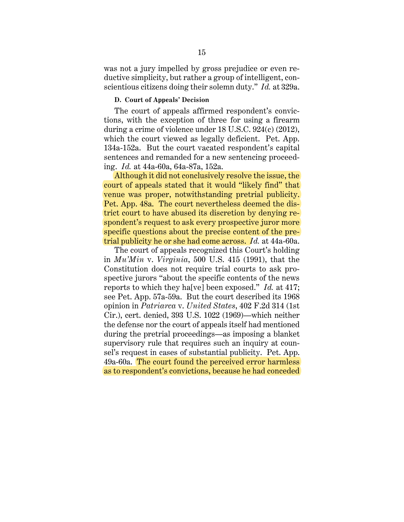was not a jury impelled by gross prejudice or even reductive simplicity, but rather a group of intelligent, conscientious citizens doing their solemn duty." *Id.* at 329a.

#### **D. Court of Appeals' Decision**

The court of appeals affirmed respondent's convictions, with the exception of three for using a firearm during a crime of violence under 18 U.S.C. 924(c) (2012), which the court viewed as legally deficient. Pet. App. 134a-152a. But the court vacated respondent's capital sentences and remanded for a new sentencing proceeding. *Id.* at 44a-60a, 64a-87a, 152a.

Although it did not conclusively resolve the issue, the court of appeals stated that it would "likely find" that venue was proper, notwithstanding pretrial publicity. Pet. App. 48a. The court nevertheless deemed the district court to have abused its discretion by denying respondent's request to ask every prospective juror more specific questions about the precise content of the pretrial publicity he or she had come across. *Id.* at 44a-60a.

The court of appeals recognized this Court's holding in *Mu'Min* v. *Virginia*, 500 U.S. 415 (1991), that the Constitution does not require trial courts to ask prospective jurors "about the specific contents of the news reports to which they ha[ve] been exposed." *Id.* at 417; see Pet. App. 57a-59a. But the court described its 1968 opinion in *Patriarca* v. *United States*, 402 F.2d 314 (1st Cir.), cert. denied, 393 U.S. 1022 (1969)—which neither the defense nor the court of appeals itself had mentioned during the pretrial proceedings—as imposing a blanket supervisory rule that requires such an inquiry at counsel's request in cases of substantial publicity. Pet. App. 49a-60a.The court found the perceived error harmless as to respondent's convictions, because he had conceded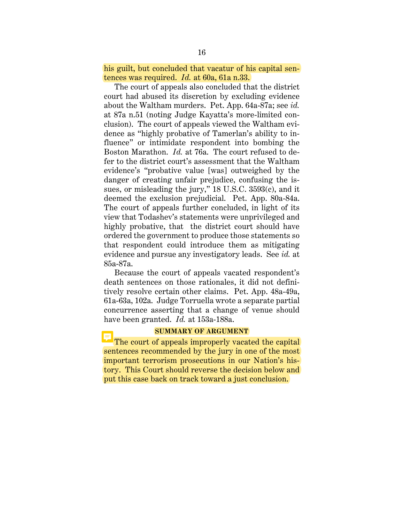his guilt, but concluded that vacatur of his capital sentences was required. *Id.* at 60a, 61a n.33.

The court of appeals also concluded that the district court had abused its discretion by excluding evidence about the Waltham murders. Pet. App. 64a-87a; see *id.* at 87a n.51 (noting Judge Kayatta's more-limited conclusion). The court of appeals viewed the Waltham evidence as "highly probative of Tamerlan's ability to influence" or intimidate respondent into bombing the Boston Marathon. *Id.* at 76a. The court refused to defer to the district court's assessment that the Waltham evidence's "probative value [was] outweighed by the danger of creating unfair prejudice, confusing the issues, or misleading the jury," 18 U.S.C. 3593(c), and it deemed the exclusion prejudicial. Pet. App. 80a-84a. The court of appeals further concluded, in light of its view that Todashev's statements were unprivileged and highly probative, that the district court should have ordered the government to produce those statements so that respondent could introduce them as mitigating evidence and pursue any investigatory leads. See *id.* at 85a-87a.

Because the court of appeals vacated respondent's death sentences on those rationales, it did not definitively resolve certain other claims. Pet. App. 48a-49a, 61a-63a, 102a. Judge Torruella wrote a separate partial concurrence asserting that a change of venue should have been granted. *Id.* at 153a-188a.

#### **SUMMARY OF ARGUMENT**

The court of appeals improperly vacated the capital sentences recommended by the jury in one of the most important terrorism prosecutions in our Nation's history. This Court should reverse the decision below and put this case back on track toward a just conclusion.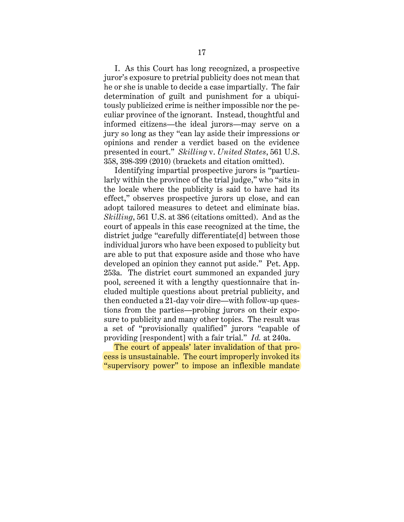I. As this Court has long recognized, a prospective juror's exposure to pretrial publicity does not mean that he or she is unable to decide a case impartially. The fair determination of guilt and punishment for a ubiquitously publicized crime is neither impossible nor the peculiar province of the ignorant. Instead, thoughtful and informed citizens—the ideal jurors—may serve on a jury so long as they "can lay aside their impressions or opinions and render a verdict based on the evidence presented in court." *Skilling* v. *United States*, 561 U.S. 358, 398-399 (2010) (brackets and citation omitted).

Identifying impartial prospective jurors is "particularly within the province of the trial judge," who "sits in the locale where the publicity is said to have had its effect," observes prospective jurors up close, and can adopt tailored measures to detect and eliminate bias. *Skilling*, 561 U.S. at 386 (citations omitted). And as the court of appeals in this case recognized at the time, the district judge "carefully differentiate[d] between those individual jurors who have been exposed to publicity but are able to put that exposure aside and those who have developed an opinion they cannot put aside." Pet. App. 253a. The district court summoned an expanded jury pool, screened it with a lengthy questionnaire that included multiple questions about pretrial publicity, and then conducted a 21-day voir dire—with follow-up questions from the parties—probing jurors on their exposure to publicity and many other topics. The result was a set of "provisionally qualified" jurors "capable of providing [respondent] with a fair trial." *Id.* at 240a.

The court of appeals' later invalidation of that process is unsustainable. The court improperly invoked its "supervisory power" to impose an inflexible mandate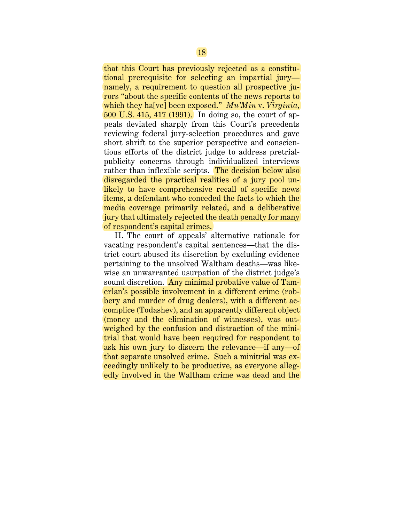that this Court has previously rejected as a constitutional prerequisite for selecting an impartial jury namely, a requirement to question all prospective jurors "about the specific contents of the news reports to which they ha[ve] been exposed." *Mu'Min* v. *Virginia*, 500 U.S. 415, 417 (1991). In doing so, the court of appeals deviated sharply from this Court's precedents reviewing federal jury-selection procedures and gave short shrift to the superior perspective and conscientious efforts of the district judge to address pretrialpublicity concerns through individualized interviews rather than inflexible scripts. The decision below also disregarded the practical realities of a jury pool unlikely to have comprehensive recall of specific news items, a defendant who conceded the facts to which the media coverage primarily related, and a deliberative jury that ultimately rejected the death penalty for many of respondent's capital crimes.

II. The court of appeals' alternative rationale for vacating respondent's capital sentences—that the district court abused its discretion by excluding evidence pertaining to the unsolved Waltham deaths—was likewise an unwarranted usurpation of the district judge's sound discretion. Any minimal probative value of Tamerlan's possible involvement in a different crime (robbery and murder of drug dealers), with a different accomplice (Todashev), and an apparently different object (money and the elimination of witnesses), was outweighed by the confusion and distraction of the minitrial that would have been required for respondent to ask his own jury to discern the relevance—if any—of that separate unsolved crime. Such a minitrial was exceedingly unlikely to be productive, as everyone allegedly involved in the Waltham crime was dead and the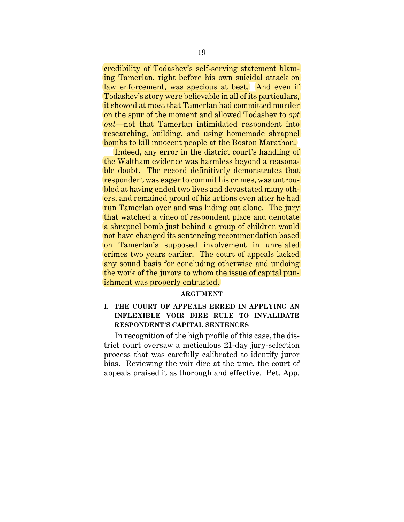credibility of Todashev's self-serving statement blaming Tamerlan, right before his own suicidal attack on law enforcement, was specious at best. And even if Todashev's story were believable in all of its particulars, it showed at most that Tamerlan had committed murder on the spur of the moment and allowed Todashev to *opt out*—not that Tamerlan intimidated respondent into researching, building, and using homemade shrapnel bombs to kill innocent people at the Boston Marathon.

Indeed, any error in the district court's handling of the Waltham evidence was harmless beyond a reasonable doubt. The record definitively demonstrates that respondent was eager to commit his crimes, was untroubled at having ended two lives and devastated many others, and remained proud of his actions even after he had run Tamerlan over and was hiding out alone. The jury that watched a video of respondent place and denotate a shrapnel bomb just behind a group of children would not have changed its sentencing recommendation based on Tamerlan's supposed involvement in unrelated crimes two years earlier. The court of appeals lacked any sound basis for concluding otherwise and undoing the work of the jurors to whom the issue of capital punishment was properly entrusted.

#### **ARGUMENT**

# **I. THE COURT OF APPEALS ERRED IN APPLYING AN INFLEXIBLE VOIR DIRE RULE TO INVALIDATE RESPONDENT'S CAPITAL SENTENCES**

In recognition of the high profile of this case, the district court oversaw a meticulous 21-day jury-selection process that was carefully calibrated to identify juror bias. Reviewing the voir dire at the time, the court of appeals praised it as thorough and effective. Pet. App.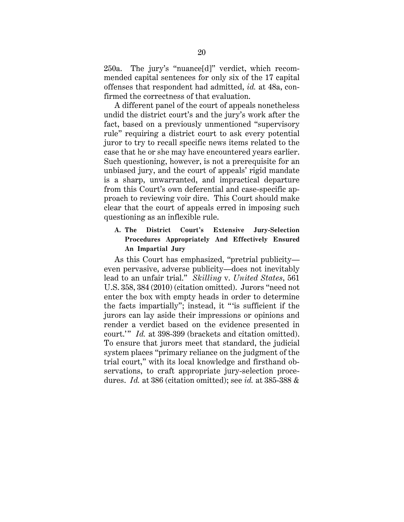250a. The jury's "nuance[d]" verdict, which recommended capital sentences for only six of the 17 capital offenses that respondent had admitted, *id.* at 48a, confirmed the correctness of that evaluation.

A different panel of the court of appeals nonetheless undid the district court's and the jury's work after the fact, based on a previously unmentioned "supervisory rule" requiring a district court to ask every potential juror to try to recall specific news items related to the case that he or she may have encountered years earlier. Such questioning, however, is not a prerequisite for an unbiased jury, and the court of appeals' rigid mandate is a sharp, unwarranted, and impractical departure from this Court's own deferential and case-specific approach to reviewing voir dire. This Court should make clear that the court of appeals erred in imposing such questioning as an inflexible rule.

**A. The District Court's Extensive Jury-Selection Procedures Appropriately And Effectively Ensured An Impartial Jury** 

As this Court has emphasized, "pretrial publicity even pervasive, adverse publicity—does not inevitably lead to an unfair trial." *Skilling* v. *United States*, 561 U.S. 358, 384 (2010) (citation omitted). Jurors "need not enter the box with empty heads in order to determine the facts impartially"; instead, it " 'is sufficient if the jurors can lay aside their impressions or opinions and render a verdict based on the evidence presented in court.'" *Id.* at 398-399 (brackets and citation omitted). To ensure that jurors meet that standard, the judicial system places "primary reliance on the judgment of the trial court," with its local knowledge and firsthand observations, to craft appropriate jury-selection procedures. *Id.* at 386 (citation omitted); see *id.* at 385-388 &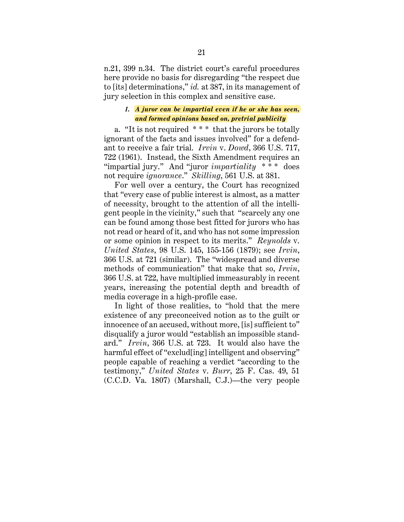n.21, 399 n.34. The district court's careful procedures here provide no basis for disregarding "the respect due to [its] determinations," *id.* at 387, in its management of jury selection in this complex and sensitive case.

# *1. A juror can be impartial even if he or she has seen, and formed opinions based on, pretrial publicity*

a. "It is not required \* \* \* that the jurors be totally ignorant of the facts and issues involved" for a defendant to receive a fair trial. *Irvin* v. *Dowd*, 366 U.S. 717, 722 (1961). Instead, the Sixth Amendment requires an "impartial jury." And "juror *impartiality* \* \* \* does not require *ignorance*." *Skilling*, 561 U.S. at 381.

For well over a century, the Court has recognized that "every case of public interest is almost, as a matter of necessity, brought to the attention of all the intelligent people in the vicinity," such that "scarcely any one can be found among those best fitted for jurors who has not read or heard of it, and who has not some impression or some opinion in respect to its merits." *Reynolds* v. *United States*, 98 U.S. 145, 155-156 (1879); see *Irvin*, 366 U.S. at 721 (similar). The "widespread and diverse methods of communication" that make that so, *Irvin*, 366 U.S. at 722, have multiplied immeasurably in recent years, increasing the potential depth and breadth of media coverage in a high-profile case.

In light of those realities, to "hold that the mere existence of any preconceived notion as to the guilt or innocence of an accused, without more, [is] sufficient to" disqualify a juror would "establish an impossible standard." *Irvin*, 366 U.S. at 723. It would also have the harmful effect of "exclud [ing] intelligent and observing" people capable of reaching a verdict "according to the testimony," *United States* v. *Burr*, 25 F. Cas. 49, 51 (C.C.D. Va. 1807) (Marshall, C.J.)—the very people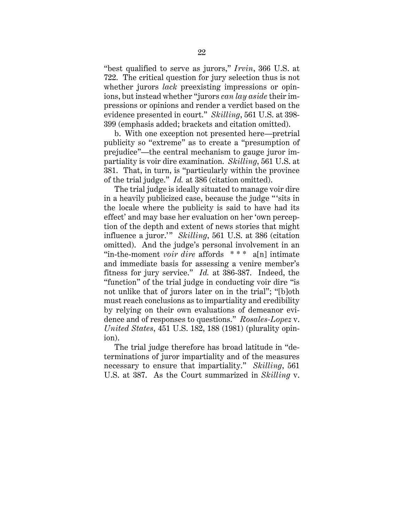"best qualified to serve as jurors," *Irvin*, 366 U.S. at 722. The critical question for jury selection thus is not whether jurors *lack* preexisting impressions or opinions, but instead whether "jurors *can lay aside* their impressions or opinions and render a verdict based on the evidence presented in court." *Skilling*, 561 U.S. at 398- 399 (emphasis added; brackets and citation omitted).

b. With one exception not presented here—pretrial publicity so "extreme" as to create a "presumption of prejudice"—the central mechanism to gauge juror impartiality is voir dire examination. *Skilling*, 561 U.S. at 381. That, in turn, is "particularly within the province of the trial judge." *Id.* at 386 (citation omitted).

The trial judge is ideally situated to manage voir dire in a heavily publicized case, because the judge " 'sits in the locale where the publicity is said to have had its effect' and may base her evaluation on her 'own perception of the depth and extent of news stories that might influence a juror." *Skilling*, 561 U.S. at 386 (citation omitted). And the judge's personal involvement in an "in-the-moment *voir dire* affords \* \* \* a[n] intimate and immediate basis for assessing a venire member's fitness for jury service." *Id.* at 386-387. Indeed, the "function" of the trial judge in conducting voir dire "is not unlike that of jurors later on in the trial"; "[b]oth must reach conclusions as to impartiality and credibility by relying on their own evaluations of demeanor evidence and of responses to questions." *Rosales-Lopez* v. *United States*, 451 U.S. 182, 188 (1981) (plurality opinion).

The trial judge therefore has broad latitude in "determinations of juror impartiality and of the measures necessary to ensure that impartiality." *Skilling*, 561 U.S. at 387. As the Court summarized in *Skilling* v.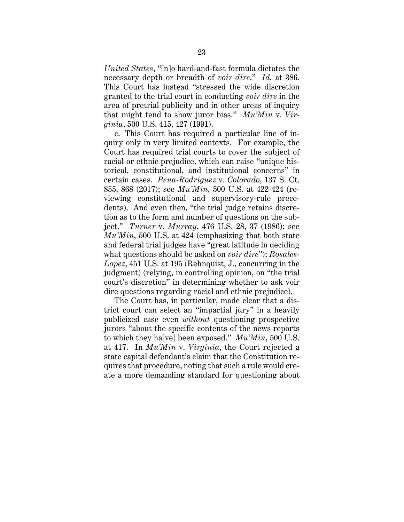*United States*, "[n]o hard-and-fast formula dictates the necessary depth or breadth of *voir dire*." *Id.* at 386. This Court has instead "stressed the wide discretion granted to the trial court in conducting *voir dire* in the area of pretrial publicity and in other areas of inquiry that might tend to show juror bias." *Mu'Min* v. *Virginia*, 500 U.S. 415, 427 (1991).

c. This Court has required a particular line of inquiry only in very limited contexts. For example, the Court has required trial courts to cover the subject of racial or ethnic prejudice, which can raise "unique historical, constitutional, and institutional concerns" in certain cases. *Pena-Rodriguez* v. *Colorado*, 137 S. Ct. 855, 868 (2017); see *Mu'Min*, 500 U.S. at 422-424 (reviewing constitutional and supervisory-rule precedents). And even then, "the trial judge retains discretion as to the form and number of questions on the subject." *Turner* v. *Murray*, 476 U.S. 28, 37 (1986); see *Mu'Min*, 500 U.S. at 424 (emphasizing that both state and federal trial judges have "great latitude in deciding what questions should be asked on *voir dire*"); *Rosales-Lopez*, 451 U.S. at 195 (Rehnquist, J., concurring in the judgment) (relying, in controlling opinion, on "the trial court's discretion" in determining whether to ask voir dire questions regarding racial and ethnic prejudice).

The Court has, in particular, made clear that a district court can select an "impartial jury" in a heavily publicized case even *without* questioning prospective jurors "about the specific contents of the news reports to which they ha[ve] been exposed." *Mu'Min*, 500 U.S. at 417. In *Mu'Min* v. *Virginia*, the Court rejected a state capital defendant's claim that the Constitution requires that procedure, noting that such a rule would create a more demanding standard for questioning about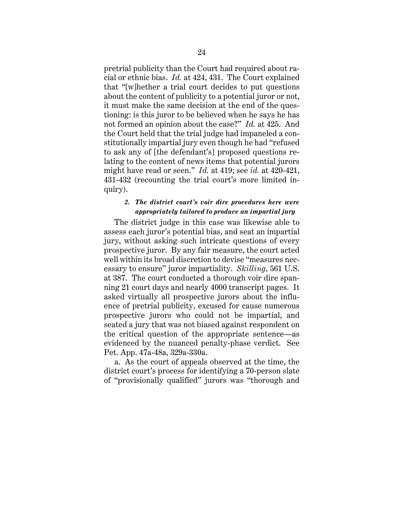pretrial publicity than the Court had required about racial or ethnic bias. *Id.* at 424, 431. The Court explained that "[w]hether a trial court decides to put questions about the content of publicity to a potential juror or not, it must make the same decision at the end of the questioning: is this juror to be believed when he says he has not formed an opinion about the case?" *Id.* at 425. And the Court held that the trial judge had impaneled a constitutionally impartial jury even though he had "refused to ask any of [the defendant's] proposed questions relating to the content of news items that potential jurors might have read or seen." *Id.* at 419; see *id.* at 420-421, 431-432 (recounting the trial court's more limited inquiry).

## *2. The district court's voir dire procedures here were appropriately tailored to produce an impartial jury*

The district judge in this case was likewise able to assess each juror's potential bias, and seat an impartial jury, without asking such intricate questions of every prospective juror. By any fair measure, the court acted well within its broad discretion to devise "measures necessary to ensure" juror impartiality. *Skilling*, 561 U.S. at 387. The court conducted a thorough voir dire spanning 21 court days and nearly 4000 transcript pages. It asked virtually all prospective jurors about the influence of pretrial publicity, excused for cause numerous prospective jurors who could not be impartial, and seated a jury that was not biased against respondent on the critical question of the appropriate sentence—as evidenced by the nuanced penalty-phase verdict. See Pet. App. 47a-48a, 329a-330a.

a. As the court of appeals observed at the time, the district court's process for identifying a 70-person slate of "provisionally qualified" jurors was "thorough and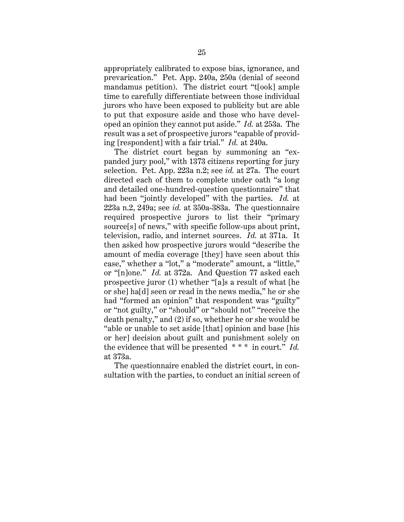appropriately calibrated to expose bias, ignorance, and prevarication." Pet. App. 240a, 250a (denial of second mandamus petition). The district court "t[ook] ample time to carefully differentiate between those individual jurors who have been exposed to publicity but are able to put that exposure aside and those who have developed an opinion they cannot put aside." *Id.* at 253a. The result was a set of prospective jurors "capable of providing [respondent] with a fair trial." *Id.* at 240a.

The district court began by summoning an "expanded jury pool," with 1373 citizens reporting for jury selection. Pet. App. 223a n.2; see *id.* at 27a. The court directed each of them to complete under oath "a long and detailed one-hundred-question questionnaire" that had been "jointly developed" with the parties. *Id.* at 223a n.2, 249a; see *id.* at 350a-383a. The questionnaire required prospective jurors to list their "primary source[s] of news," with specific follow-ups about print, television, radio, and internet sources. *Id.* at 371a. It then asked how prospective jurors would "describe the amount of media coverage [they] have seen about this case," whether a "lot," a "moderate" amount, a "little," or "[n]one." *Id.* at 372a. And Question 77 asked each prospective juror (1) whether "[a]s a result of what [he or she] ha[d] seen or read in the news media," he or she had "formed an opinion" that respondent was "guilty" or "not guilty," or "should" or "should not" "receive the death penalty," and (2) if so, whether he or she would be "able or unable to set aside [that] opinion and base [his or her] decision about guilt and punishment solely on the evidence that will be presented \* \* \* in court." *Id.* at 373a.

The questionnaire enabled the district court, in consultation with the parties, to conduct an initial screen of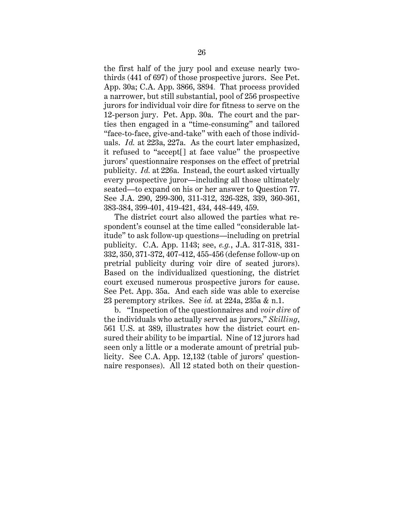the first half of the jury pool and excuse nearly twothirds (441 of 697) of those prospective jurors. See Pet. App. 30a; C.A. App. 3866, 3894. That process provided a narrower, but still substantial, pool of 256 prospective jurors for individual voir dire for fitness to serve on the 12-person jury. Pet. App. 30a. The court and the parties then engaged in a "time-consuming" and tailored "face-to-face, give-and-take" with each of those individuals. *Id.* at 223a, 227a. As the court later emphasized, it refused to "accept[] at face value" the prospective jurors' questionnaire responses on the effect of pretrial publicity. *Id.* at 226a. Instead, the court asked virtually every prospective juror—including all those ultimately seated—to expand on his or her answer to Question 77. See J.A. 290, 299-300, 311-312, 326-328, 339, 360-361, 383-384, 399-401, 419-421, 434, 448-449, 459.

The district court also allowed the parties what respondent's counsel at the time called "considerable latitude" to ask follow-up questions—including on pretrial publicity. C.A. App. 1143; see, *e.g.*, J.A. 317-318, 331- 332, 350, 371-372, 407-412, 455-456 (defense follow-up on pretrial publicity during voir dire of seated jurors). Based on the individualized questioning, the district court excused numerous prospective jurors for cause. See Pet. App. 35a. And each side was able to exercise 23 peremptory strikes. See *id.* at 224a, 235a & n.1.

b. "Inspection of the questionnaires and *voir dire* of the individuals who actually served as jurors," *Skilling*, 561 U.S. at 389, illustrates how the district court ensured their ability to be impartial. Nine of 12 jurors had seen only a little or a moderate amount of pretrial publicity. See C.A. App. 12,132 (table of jurors' questionnaire responses). All 12 stated both on their question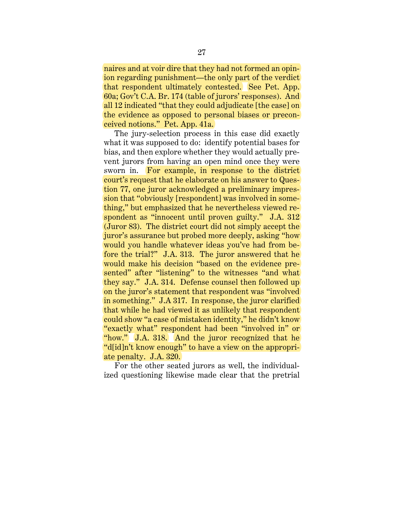naires and at voir dire that they had not formed an opinion regarding punishment—the only part of the verdict that respondent ultimately contested. See Pet. App. 60a; Gov't C.A. Br. 174 (table of jurors' responses). And all 12 indicated "that they could adjudicate [the case] on the evidence as opposed to personal biases or preconceived notions." Pet. App. 41a.

The jury-selection process in this case did exactly what it was supposed to do: identify potential bases for bias, and then explore whether they would actually prevent jurors from having an open mind once they were sworn in. For example, in response to the district court's request that he elaborate on his answer to Question 77, one juror acknowledged a preliminary impression that "obviously [respondent] was involved in something," but emphasized that he nevertheless viewed respondent as "innocent until proven guilty." J.A. 312 (Juror 83). The district court did not simply accept the juror's assurance but probed more deeply, asking "how would you handle whatever ideas you've had from before the trial?" J.A. 313. The juror answered that he would make his decision "based on the evidence presented" after "listening" to the witnesses "and what they say." J.A. 314. Defense counsel then followed up on the juror's statement that respondent was "involved in something." J.A 317. In response, the juror clarified that while he had viewed it as unlikely that respondent could show "a case of mistaken identity," he didn't know "exactly what" respondent had been "involved in" or "how." J.A. 318. And the juror recognized that he "d[id]n't know enough" to have a view on the appropriate penalty. J.A. 320.

For the other seated jurors as well, the individualized questioning likewise made clear that the pretrial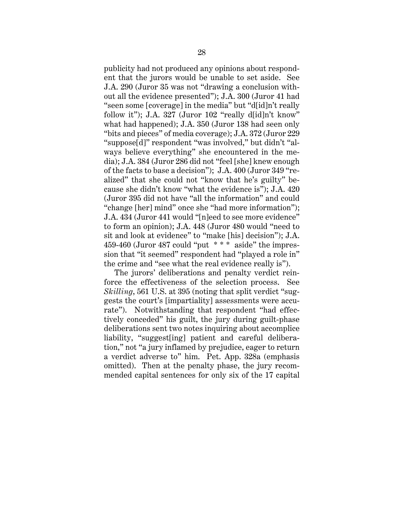publicity had not produced any opinions about respondent that the jurors would be unable to set aside. See J.A. 290 (Juror 35 was not "drawing a conclusion without all the evidence presented"); J.A. 300 (Juror 41 had "seen some [coverage] in the media" but "d[id]n't really follow it"); J.A. 327 (Juror 102 "really d[id]n't know" what had happened); J.A. 350 (Juror 138 had seen only "bits and pieces" of media coverage); J.A. 372 (Juror 229 "suppose[d]" respondent "was involved," but didn't "always believe everything" she encountered in the media); J.A. 384 (Juror 286 did not "feel [she] knew enough of the facts to base a decision"); J.A. 400 (Juror 349 "realized" that she could not "know that he's guilty" because she didn't know "what the evidence is"); J.A. 420 (Juror 395 did not have "all the information" and could "change [her] mind" once she "had more information"); J.A. 434 (Juror 441 would "[n]eed to see more evidence" to form an opinion); J.A. 448 (Juror 480 would "need to sit and look at evidence" to "make [his] decision"); J.A. 459-460 (Juror 487 could "put  $***$  aside" the impression that "it seemed" respondent had "played a role in" the crime and "see what the real evidence really is").

The jurors' deliberations and penalty verdict reinforce the effectiveness of the selection process. See *Skilling*, 561 U.S. at 395 (noting that split verdict "suggests the court's [impartiality] assessments were accurate"). Notwithstanding that respondent "had effectively conceded" his guilt, the jury during guilt-phase deliberations sent two notes inquiring about accomplice liability, "suggest[ing] patient and careful deliberation," not "a jury inflamed by prejudice, eager to return a verdict adverse to" him. Pet. App. 328a (emphasis omitted). Then at the penalty phase, the jury recommended capital sentences for only six of the 17 capital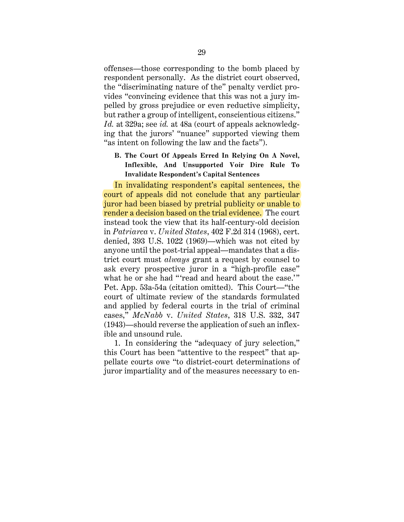offenses—those corresponding to the bomb placed by respondent personally. As the district court observed, the "discriminating nature of the" penalty verdict provides "convincing evidence that this was not a jury impelled by gross prejudice or even reductive simplicity, but rather a group of intelligent, conscientious citizens." *Id.* at 329a; see *id.* at 48a (court of appeals acknowledging that the jurors' "nuance" supported viewing them "as intent on following the law and the facts").

**B. The Court Of Appeals Erred In Relying On A Novel, Inflexible, And Unsupported Voir Dire Rule To Invalidate Respondent's Capital Sentences** 

In invalidating respondent's capital sentences, the court of appeals did not conclude that any particular juror had been biased by pretrial publicity or unable to render a decision based on the trial evidence. The court instead took the view that its half-century-old decision in *Patriarca* v. *United States*, 402 F.2d 314 (1968), cert. denied, 393 U.S. 1022 (1969)—which was not cited by anyone until the post-trial appeal—mandates that a district court must *always* grant a request by counsel to ask every prospective juror in a "high-profile case" what he or she had "'read and heard about the case.'" Pet. App. 53a-54a (citation omitted). This Court—"the court of ultimate review of the standards formulated and applied by federal courts in the trial of criminal cases," *McNabb* v. *United States*, 318 U.S. 332, 347 (1943)—should reverse the application of such an inflexible and unsound rule.

1. In considering the "adequacy of jury selection," this Court has been "attentive to the respect" that appellate courts owe "to district-court determinations of juror impartiality and of the measures necessary to en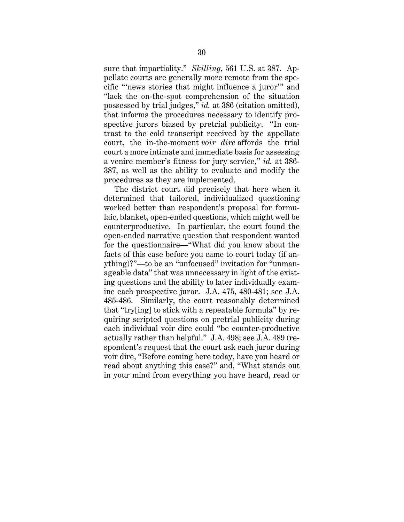sure that impartiality." *Skilling*, 561 U.S. at 387. Appellate courts are generally more remote from the specific "'news stories that might influence a juror'" and "lack the on-the-spot comprehension of the situation possessed by trial judges," *id.* at 386 (citation omitted), that informs the procedures necessary to identify prospective jurors biased by pretrial publicity. "In contrast to the cold transcript received by the appellate court, the in-the-moment *voir dire* affords the trial court a more intimate and immediate basis for assessing a venire member's fitness for jury service," *id.* at 386- 387, as well as the ability to evaluate and modify the procedures as they are implemented.

The district court did precisely that here when it determined that tailored, individualized questioning worked better than respondent's proposal for formulaic, blanket, open-ended questions, which might well be counterproductive. In particular, the court found the open-ended narrative question that respondent wanted for the questionnaire—"What did you know about the facts of this case before you came to court today (if anything)?"—to be an "unfocused" invitation for "unmanageable data" that was unnecessary in light of the existing questions and the ability to later individually examine each prospective juror. J.A. 475, 480-481; see J.A. 485-486. Similarly, the court reasonably determined that "try[ing] to stick with a repeatable formula" by requiring scripted questions on pretrial publicity during each individual voir dire could "be counter-productive actually rather than helpful." J.A. 498; see J.A. 489 (respondent's request that the court ask each juror during voir dire, "Before coming here today, have you heard or read about anything this case?" and, "What stands out in your mind from everything you have heard, read or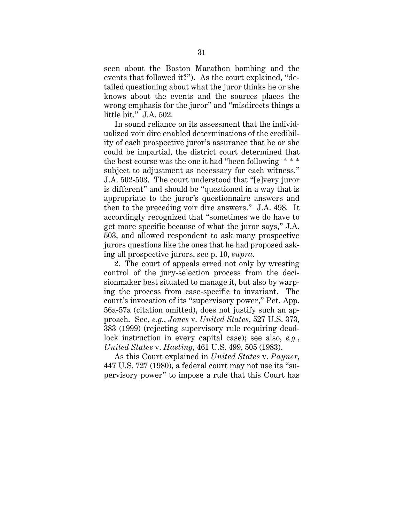seen about the Boston Marathon bombing and the events that followed it?"). As the court explained, "detailed questioning about what the juror thinks he or she knows about the events and the sources places the wrong emphasis for the juror" and "misdirects things a little bit." J.A. 502.

In sound reliance on its assessment that the individualized voir dire enabled determinations of the credibility of each prospective juror's assurance that he or she could be impartial, the district court determined that the best course was the one it had "been following \* \* \* subject to adjustment as necessary for each witness." J.A. 502-503. The court understood that "[e]very juror is different" and should be "questioned in a way that is appropriate to the juror's questionnaire answers and then to the preceding voir dire answers." J.A. 498. It accordingly recognized that "sometimes we do have to get more specific because of what the juror says," J.A. 503, and allowed respondent to ask many prospective jurors questions like the ones that he had proposed asking all prospective jurors, see p. 10, *supra*.

2. The court of appeals erred not only by wresting control of the jury-selection process from the decisionmaker best situated to manage it, but also by warping the process from case-specific to invariant. The court's invocation of its "supervisory power," Pet. App. 56a-57a (citation omitted), does not justify such an approach. See, *e.g.*, *Jones* v. *United States*, 527 U.S. 373, 383 (1999) (rejecting supervisory rule requiring deadlock instruction in every capital case); see also, *e.g.*, *United States* v. *Hasting*, 461 U.S. 499, 505 (1983).

As this Court explained in *United States* v. *Payner*, 447 U.S. 727 (1980), a federal court may not use its "supervisory power" to impose a rule that this Court has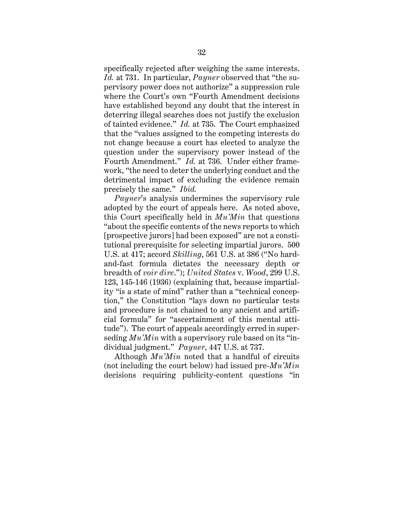specifically rejected after weighing the same interests. *Id.* at 731. In particular, *Payner* observed that "the supervisory power does not authorize" a suppression rule where the Court's own "Fourth Amendment decisions have established beyond any doubt that the interest in deterring illegal searches does not justify the exclusion of tainted evidence." *Id.* at 735. The Court emphasized that the "values assigned to the competing interests do not change because a court has elected to analyze the question under the supervisory power instead of the Fourth Amendment." *Id.* at 736. Under either framework, "the need to deter the underlying conduct and the detrimental impact of excluding the evidence remain precisely the same." *Ibid.*

*Payner*'s analysis undermines the supervisory rule adopted by the court of appeals here. As noted above, this Court specifically held in *Mu'Min* that questions "about the specific contents of the news reports to which [prospective jurors] had been exposed" are not a constitutional prerequisite for selecting impartial jurors. 500 U.S. at 417; accord *Skilling*, 561 U.S. at 386 ("No hardand-fast formula dictates the necessary depth or breadth of *voir dire*."); *United States* v. *Wood*, 299 U.S. 123, 145-146 (1936) (explaining that, because impartiality "is a state of mind" rather than a "technical conception," the Constitution "lays down no particular tests and procedure is not chained to any ancient and artificial formula" for "ascertainment of this mental attitude"). The court of appeals accordingly erred in superseding *Mu'Min* with a supervisory rule based on its "individual judgment." *Payner*, 447 U.S. at 737.

Although *Mu'Min* noted that a handful of circuits (not including the court below) had issued pre-*Mu'Min* decisions requiring publicity-content questions "in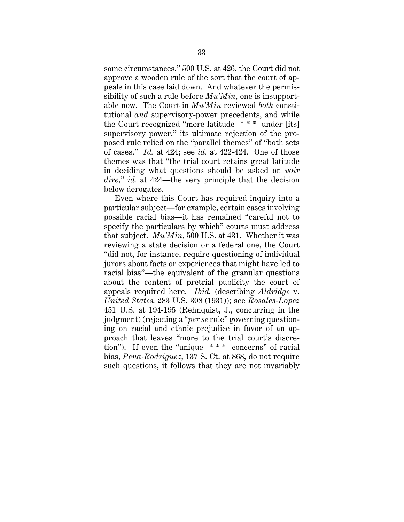some circumstances," 500 U.S. at 426, the Court did not approve a wooden rule of the sort that the court of appeals in this case laid down. And whatever the permissibility of such a rule before *Mu'Min*, one is insupportable now. The Court in *Mu'Min* reviewed *both* constitutional *and* supervisory-power precedents, and while the Court recognized "more latitude \* \* \* under [its] supervisory power," its ultimate rejection of the proposed rule relied on the "parallel themes" of "both sets of cases." *Id.* at 424; see *id.* at 422-424. One of those themes was that "the trial court retains great latitude in deciding what questions should be asked on *voir dire*," *id.* at 424—the very principle that the decision below derogates.

Even where this Court has required inquiry into a particular subject—for example, certain cases involving possible racial bias—it has remained "careful not to specify the particulars by which" courts must address that subject. *Mu'Min*, 500 U.S. at 431. Whether it was reviewing a state decision or a federal one, the Court "did not, for instance, require questioning of individual jurors about facts or experiences that might have led to racial bias"—the equivalent of the granular questions about the content of pretrial publicity the court of appeals required here. *Ibid.* (describing *Aldridge* v. *United States,* 283 U.S. 308 (1931)); see *Rosales-Lopez* 451 U.S. at 194-195 (Rehnquist, J., concurring in the judgment) (rejecting a "*per se* rule" governing questioning on racial and ethnic prejudice in favor of an approach that leaves "more to the trial court's discretion"). If even the "unique \* \* \* concerns" of racial bias, *Pena-Rodriguez*, 137 S. Ct. at 868, do not require such questions, it follows that they are not invariably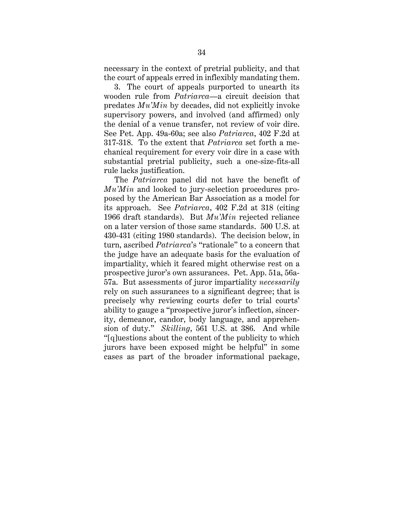necessary in the context of pretrial publicity, and that the court of appeals erred in inflexibly mandating them.

3. The court of appeals purported to unearth its wooden rule from *Patriarca*—a circuit decision that predates *Mu'Min* by decades, did not explicitly invoke supervisory powers, and involved (and affirmed) only the denial of a venue transfer, not review of voir dire. See Pet. App. 49a-60a; see also *Patriarca*, 402 F.2d at 317-318. To the extent that *Patriarca* set forth a mechanical requirement for every voir dire in a case with substantial pretrial publicity, such a one-size-fits-all rule lacks justification.

The *Patriarca* panel did not have the benefit of *Mu'Min* and looked to jury-selection procedures proposed by the American Bar Association as a model for its approach. See *Patriarca*, 402 F.2d at 318 (citing 1966 draft standards). But *Mu'Min* rejected reliance on a later version of those same standards. 500 U.S. at 430-431 (citing 1980 standards). The decision below, in turn, ascribed *Patriarca*'s "rationale" to a concern that the judge have an adequate basis for the evaluation of impartiality, which it feared might otherwise rest on a prospective juror's own assurances. Pet. App. 51a, 56a-57a. But assessments of juror impartiality *necessarily* rely on such assurances to a significant degree; that is precisely why reviewing courts defer to trial courts' ability to gauge a "prospective juror's inflection, sincerity, demeanor, candor, body language, and apprehension of duty." *Skilling*, 561 U.S. at 386. And while "[q]uestions about the content of the publicity to which jurors have been exposed might be helpful" in some cases as part of the broader informational package,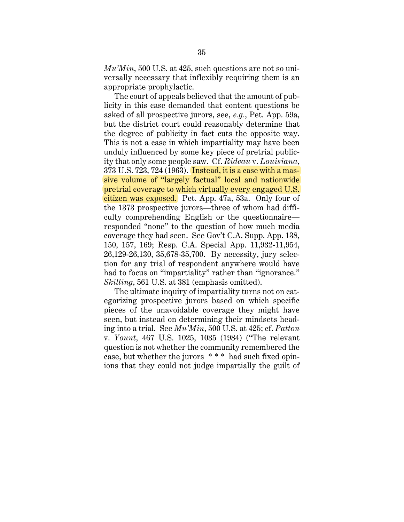*Mu'Min*, 500 U.S. at 425, such questions are not so universally necessary that inflexibly requiring them is an appropriate prophylactic.

The court of appeals believed that the amount of publicity in this case demanded that content questions be asked of all prospective jurors, see, *e.g.*, Pet. App. 59a, but the district court could reasonably determine that the degree of publicity in fact cuts the opposite way. This is not a case in which impartiality may have been unduly influenced by some key piece of pretrial publicity that only some people saw. Cf. *Rideau* v. *Louisiana*, 373 U.S. 723, 724 (1963). Instead, it is a case with a massive volume of "largely factual" local and nationwide pretrial coverage to which virtually every engaged U.S. citizen was exposed. Pet. App. 47a, 53a. Only four of the 1373 prospective jurors—three of whom had difficulty comprehending English or the questionnaire responded "none" to the question of how much media coverage they had seen. See Gov't C.A. Supp. App. 138, 150, 157, 169; Resp. C.A. Special App. 11,932-11,954, 26,129-26,130, 35,678-35,700. By necessity, jury selection for any trial of respondent anywhere would have had to focus on "impartiality" rather than "ignorance." *Skilling*, 561 U.S. at 381 (emphasis omitted).

The ultimate inquiry of impartiality turns not on categorizing prospective jurors based on which specific pieces of the unavoidable coverage they might have seen, but instead on determining their mindsets heading into a trial. See *Mu'Min*, 500 U.S. at 425; cf. *Patton* v. *Yount*, 467 U.S. 1025, 1035 (1984) ("The relevant question is not whether the community remembered the case, but whether the jurors \* \* \* had such fixed opinions that they could not judge impartially the guilt of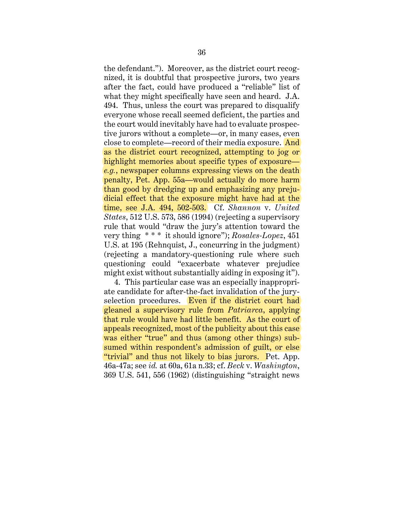the defendant."). Moreover, as the district court recognized, it is doubtful that prospective jurors, two years after the fact, could have produced a "reliable" list of what they might specifically have seen and heard. J.A. 494. Thus, unless the court was prepared to disqualify everyone whose recall seemed deficient, the parties and the court would inevitably have had to evaluate prospective jurors without a complete—or, in many cases, even close to complete—record of their media exposure. And as the district court recognized, attempting to jog or highlight memories about specific types of exposure *e.g.*, newspaper columns expressing views on the death penalty, Pet. App. 55a—would actually do more harm than good by dredging up and emphasizing any prejudicial effect that the exposure might have had at the time, see J.A. 494, 502-503. Cf. *Shannon* v. *United States*, 512 U.S. 573, 586 (1994) (rejecting a supervisory rule that would "draw the jury's attention toward the very thing \* \* \* it should ignore"); *Rosales-Lopez*, 451 U.S. at 195 (Rehnquist, J., concurring in the judgment) (rejecting a mandatory-questioning rule where such questioning could "exacerbate whatever prejudice might exist without substantially aiding in exposing it").

4. This particular case was an especially inappropriate candidate for after-the-fact invalidation of the juryselection procedures. Even if the district court had gleaned a supervisory rule from *Patriarca*, applying that rule would have had little benefit. As the court of appeals recognized, most of the publicity about this case was either "true" and thus (among other things) subsumed within respondent's admission of guilt, or else "trivial" and thus not likely to bias jurors. Pet. App. 46a-47a; see *id.* at 60a, 61a n.33; cf. *Beck* v. *Washington*, 369 U.S. 541, 556 (1962) (distinguishing "straight news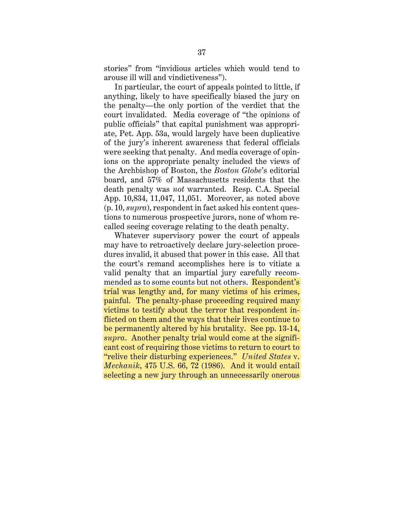stories" from "invidious articles which would tend to arouse ill will and vindictiveness").

In particular, the court of appeals pointed to little, if anything, likely to have specifically biased the jury on the penalty—the only portion of the verdict that the court invalidated. Media coverage of "the opinions of public officials" that capital punishment was appropriate, Pet. App. 53a, would largely have been duplicative of the jury's inherent awareness that federal officials were seeking that penalty. And media coverage of opinions on the appropriate penalty included the views of the Archbishop of Boston, the *Boston Globe*'s editorial board, and 57% of Massachusetts residents that the death penalty was *not* warranted. Resp. C.A. Special App. 10,834, 11,047, 11,051. Moreover, as noted above (p. 10, *supra*), respondent in fact asked his content questions to numerous prospective jurors, none of whom recalled seeing coverage relating to the death penalty.

Whatever supervisory power the court of appeals may have to retroactively declare jury-selection procedures invalid, it abused that power in this case. All that the court's remand accomplishes here is to vitiate a valid penalty that an impartial jury carefully recommended as to some counts but not others. Respondent's trial was lengthy and, for many victims of his crimes, painful. The penalty-phase proceeding required many victims to testify about the terror that respondent inflicted on them and the ways that their lives continue to be permanently altered by his brutality. See pp. 13-14, *supra*. Another penalty trial would come at the significant cost of requiring those victims to return to court to "relive their disturbing experiences." *United States* v. *Mechanik*, 475 U.S. 66, 72 (1986). And it would entail selecting a new jury through an unnecessarily onerous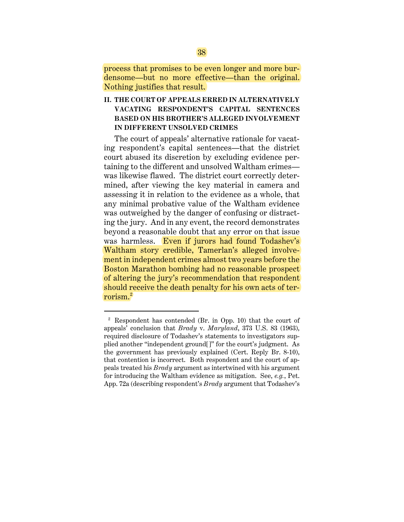process that promises to be even longer and more burdensome—but no more effective—than the original. Nothing justifies that result.

**II. THE COURT OF APPEALS ERRED IN ALTERNATIVELY VACATING RESPONDENT'S CAPITAL SENTENCES BASED ON HIS BROTHER'S ALLEGED INVOLVEMENT IN DIFFERENT UNSOLVED CRIMES** 

The court of appeals' alternative rationale for vacating respondent's capital sentences—that the district court abused its discretion by excluding evidence pertaining to the different and unsolved Waltham crimes was likewise flawed. The district court correctly determined, after viewing the key material in camera and assessing it in relation to the evidence as a whole, that any minimal probative value of the Waltham evidence was outweighed by the danger of confusing or distracting the jury. And in any event, the record demonstrates beyond a reasonable doubt that any error on that issue was harmless. Even if jurors had found Todashev's Waltham story credible, Tamerlan's alleged involvement in independent crimes almost two years before the Boston Marathon bombing had no reasonable prospect of altering the jury's recommendation that respondent should receive the death penalty for his own acts of terrorism.2

 $\overline{a}$ 

<sup>2</sup> Respondent has contended (Br. in Opp. 10) that the court of appeals' conclusion that *Brady* v. *Maryland*, 373 U.S. 83 (1963), required disclosure of Todashev's statements to investigators supplied another "independent ground[]" for the court's judgment. As the government has previously explained (Cert. Reply Br. 8-10), that contention is incorrect. Both respondent and the court of appeals treated his *Brady* argument as intertwined with his argument for introducing the Waltham evidence as mitigation. See, *e.g.*, Pet. App. 72a (describing respondent's *Brady* argument that Todashev's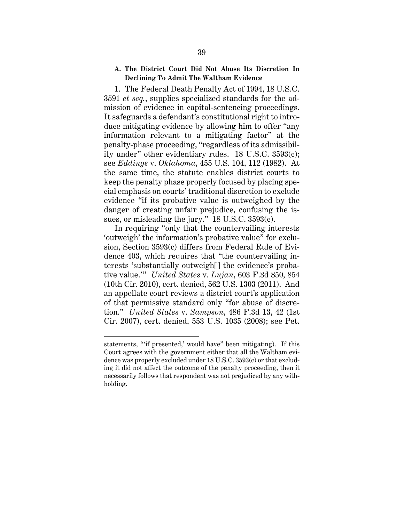# **A. The District Court Did Not Abuse Its Discretion In Declining To Admit The Waltham Evidence**

1. The Federal Death Penalty Act of 1994, 18 U.S.C. 3591 *et seq.*, supplies specialized standards for the admission of evidence in capital-sentencing proceedings. It safeguards a defendant's constitutional right to introduce mitigating evidence by allowing him to offer "any information relevant to a mitigating factor" at the penalty-phase proceeding, "regardless of its admissibility under" other evidentiary rules. 18 U.S.C. 3593(c); see *Eddings* v. *Oklahoma*, 455 U.S. 104, 112 (1982). At the same time, the statute enables district courts to keep the penalty phase properly focused by placing special emphasis on courts' traditional discretion to exclude evidence "if its probative value is outweighed by the danger of creating unfair prejudice, confusing the issues, or misleading the jury." 18 U.S.C. 3593(c).

In requiring "only that the countervailing interests 'outweigh' the information's probative value" for exclusion, Section 3593(c) differs from Federal Rule of Evidence 403, which requires that "the countervailing interests 'substantially outweigh[] the evidence's probative value.'" *United States* v. *Lujan*, 603 F.3d 850, 854 (10th Cir. 2010), cert. denied, 562 U.S. 1303 (2011). And an appellate court reviews a district court's application of that permissive standard only "for abuse of discretion." *United States* v. *Sampson*, 486 F.3d 13, 42 (1st Cir. 2007), cert. denied, 553 U.S. 1035 (2008); see Pet.

 $\overline{a}$ 

statements, "'if presented,' would have" been mitigating). If this Court agrees with the government either that all the Waltham evidence was properly excluded under 18 U.S.C. 3593(c) or that excluding it did not affect the outcome of the penalty proceeding, then it necessarily follows that respondent was not prejudiced by any withholding.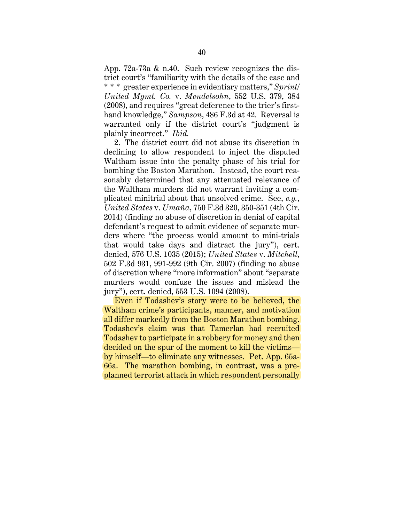App. 72a-73a & n.40. Such review recognizes the district court's "familiarity with the details of the case and \* \* \* greater experience in evidentiary matters," *Sprint/ United Mgmt. Co.* v. *Mendelsohn*, 552 U.S. 379, 384 (2008), and requires "great deference to the trier's firsthand knowledge," *Sampson*, 486 F.3d at 42. Reversal is warranted only if the district court's "judgment is plainly incorrect." *Ibid.*

2. The district court did not abuse its discretion in declining to allow respondent to inject the disputed Waltham issue into the penalty phase of his trial for bombing the Boston Marathon. Instead, the court reasonably determined that any attenuated relevance of the Waltham murders did not warrant inviting a complicated minitrial about that unsolved crime. See, *e.g.*, *United States* v. *Umaña*, 750 F.3d 320, 350-351 (4th Cir. 2014) (finding no abuse of discretion in denial of capital defendant's request to admit evidence of separate murders where "the process would amount to mini-trials that would take days and distract the jury"), cert. denied, 576 U.S. 1035 (2015); *United States* v. *Mitchell*, 502 F.3d 931, 991-992 (9th Cir. 2007) (finding no abuse of discretion where "more information" about "separate murders would confuse the issues and mislead the jury"), cert. denied, 553 U.S. 1094 (2008).

Even if Todashev's story were to be believed, the Waltham crime's participants, manner, and motivation all differ markedly from the Boston Marathon bombing. Todashev's claim was that Tamerlan had recruited Todashev to participate in a robbery for money and then decided on the spur of the moment to kill the victims by himself—to eliminate any witnesses. Pet. App. 65a-66a. The marathon bombing, in contrast, was a preplanned terrorist attack in which respondent personally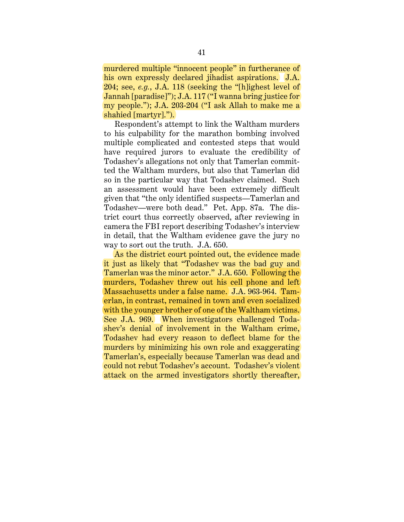murdered multiple "innocent people" in furtherance of his own expressly declared jihadist aspirations. J.A. 204; see, *e.g.*, J.A. 118 (seeking the "[h]ighest level of Jannah [paradise]"); J.A. 117 ("I wanna bring justice for my people."); J.A. 203-204 ("I ask Allah to make me a shahied [martyr].").

Respondent's attempt to link the Waltham murders to his culpability for the marathon bombing involved multiple complicated and contested steps that would have required jurors to evaluate the credibility of Todashev's allegations not only that Tamerlan committed the Waltham murders, but also that Tamerlan did so in the particular way that Todashev claimed. Such an assessment would have been extremely difficult given that "the only identified suspects—Tamerlan and Todashev—were both dead." Pet. App. 87a. The district court thus correctly observed, after reviewing in camera the FBI report describing Todashev's interview in detail, that the Waltham evidence gave the jury no way to sort out the truth. J.A. 650.

As the district court pointed out, the evidence made it just as likely that "Todashev was the bad guy and Tamerlan was the minor actor." J.A. 650. Following the murders, Todashev threw out his cell phone and left Massachusetts under a false name. J.A. 963-964. Tamerlan, in contrast, remained in town and even socialized with the younger brother of one of the Waltham victims. See J.A. 969. When investigators challenged Todashev's denial of involvement in the Waltham crime, Todashev had every reason to deflect blame for the murders by minimizing his own role and exaggerating Tamerlan's, especially because Tamerlan was dead and could not rebut Todashev's account. Todashev's violent attack on the armed investigators shortly thereafter,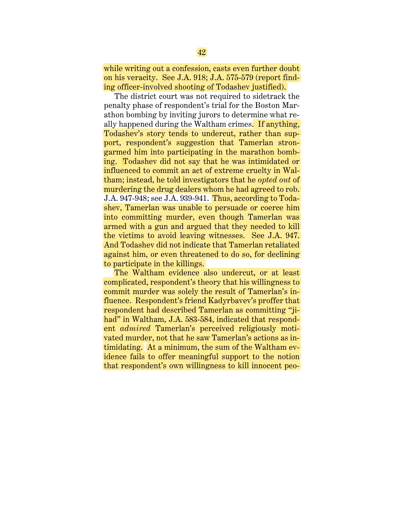while writing out a confession, casts even further doubt on his veracity. See J.A. 918; J.A. 575-579 (report finding officer-involved shooting of Todashev justified).

The district court was not required to sidetrack the penalty phase of respondent's trial for the Boston Marathon bombing by inviting jurors to determine what really happened during the Waltham crimes. If anything, Todashev's story tends to undercut, rather than support, respondent's suggestion that Tamerlan strongarmed him into participating in the marathon bombing. Todashev did not say that he was intimidated or influenced to commit an act of extreme cruelty in Waltham; instead, he told investigators that he *opted out* of murdering the drug dealers whom he had agreed to rob. J.A. 947-948; see J.A. 939-941. Thus, according to Todashev, Tamerlan was unable to persuade or coerce him into committing murder, even though Tamerlan was armed with a gun and argued that they needed to kill the victims to avoid leaving witnesses. See J.A. 947. And Todashev did not indicate that Tamerlan retaliated against him, or even threatened to do so, for declining to participate in the killings.

The Waltham evidence also undercut, or at least complicated, respondent's theory that his willingness to commit murder was solely the result of Tamerlan's influence. Respondent's friend Kadyrbavev's proffer that respondent had described Tamerlan as committing "jihad" in Waltham, J.A. 583-584, indicated that respondent *admired* Tamerlan's perceived religiously motivated murder, not that he saw Tamerlan's actions as intimidating. At a minimum, the sum of the Waltham evidence fails to offer meaningful support to the notion that respondent's own willingness to kill innocent peo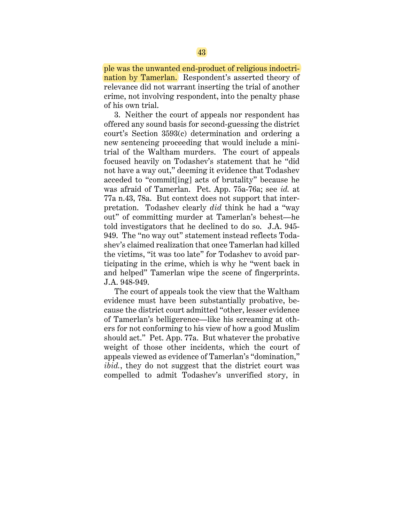ple was the unwanted end-product of religious indoctrination by Tamerlan. Respondent's asserted theory of relevance did not warrant inserting the trial of another crime, not involving respondent, into the penalty phase of his own trial.

3. Neither the court of appeals nor respondent has offered any sound basis for second-guessing the district court's Section 3593(c) determination and ordering a new sentencing proceeding that would include a minitrial of the Waltham murders. The court of appeals focused heavily on Todashev's statement that he "did not have a way out," deeming it evidence that Todashev acceded to "commit[ing] acts of brutality" because he was afraid of Tamerlan. Pet. App. 75a-76a; see *id.* at 77a n.43, 78a. But context does not support that interpretation. Todashev clearly *did* think he had a "way out" of committing murder at Tamerlan's behest—he told investigators that he declined to do so. J.A. 945- 949. The "no way out" statement instead reflects Todashev's claimed realization that once Tamerlan had killed the victims, "it was too late" for Todashev to avoid participating in the crime, which is why he "went back in and helped" Tamerlan wipe the scene of fingerprints. J.A. 948-949.

The court of appeals took the view that the Waltham evidence must have been substantially probative, because the district court admitted "other, lesser evidence of Tamerlan's belligerence—like his screaming at others for not conforming to his view of how a good Muslim should act." Pet. App. 77a. But whatever the probative weight of those other incidents, which the court of appeals viewed as evidence of Tamerlan's "domination," *ibid.*, they do not suggest that the district court was compelled to admit Todashev's unverified story, in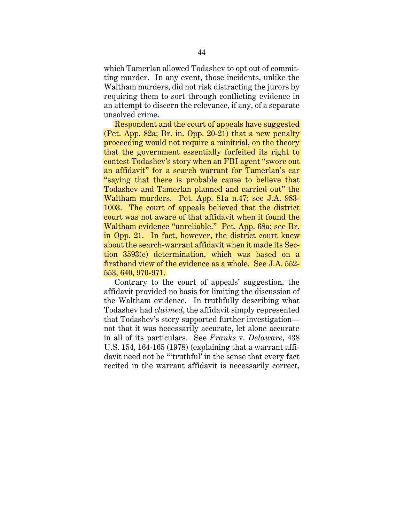which Tamerlan allowed Todashev to opt out of committing murder. In any event, those incidents, unlike the Waltham murders, did not risk distracting the jurors by requiring them to sort through conflicting evidence in an attempt to discern the relevance, if any, of a separate unsolved crime.

Respondent and the court of appeals have suggested (Pet. App. 82a; Br. in. Opp. 20-21) that a new penalty proceeding would not require a minitrial, on the theory that the government essentially forfeited its right to contest Todashev's story when an FBI agent "swore out an affidavit" for a search warrant for Tamerlan's car "saying that there is probable cause to believe that Todashev and Tamerlan planned and carried out" the Waltham murders. Pet. App. 81a n.47; see J.A. 983- 1003. The court of appeals believed that the district court was not aware of that affidavit when it found the Waltham evidence "unreliable." Pet. App. 68a; see Br. in Opp. 21. In fact, however, the district court knew about the search-warrant affidavit when it made its Section 3593(c) determination, which was based on a firsthand view of the evidence as a whole. See J.A. 552- 553, 640, 970-971.

Contrary to the court of appeals' suggestion, the affidavit provided no basis for limiting the discussion of the Waltham evidence. In truthfully describing what Todashev had *claimed*, the affidavit simply represented that Todashev's story supported further investigation not that it was necessarily accurate, let alone accurate in all of its particulars. See *Franks* v. *Delaware*, 438 U.S. 154, 164-165 (1978) (explaining that a warrant affidavit need not be "'truthful' in the sense that every fact recited in the warrant affidavit is necessarily correct,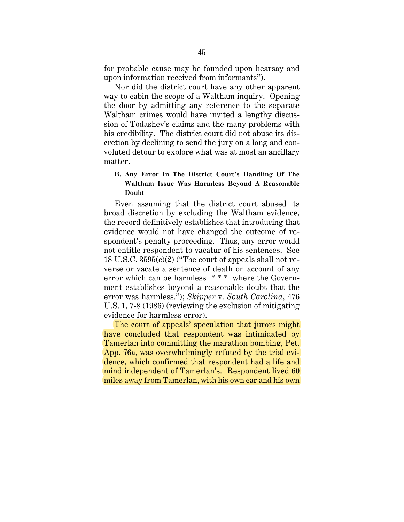for probable cause may be founded upon hearsay and upon information received from informants").

Nor did the district court have any other apparent way to cabin the scope of a Waltham inquiry. Opening the door by admitting any reference to the separate Waltham crimes would have invited a lengthy discussion of Todashev's claims and the many problems with his credibility. The district court did not abuse its discretion by declining to send the jury on a long and convoluted detour to explore what was at most an ancillary matter.

# **B. Any Error In The District Court's Handling Of The Waltham Issue Was Harmless Beyond A Reasonable Doubt**

Even assuming that the district court abused its broad discretion by excluding the Waltham evidence, the record definitively establishes that introducing that evidence would not have changed the outcome of respondent's penalty proceeding. Thus, any error would not entitle respondent to vacatur of his sentences. See 18 U.S.C. 3595(c)(2) ("The court of appeals shall not reverse or vacate a sentence of death on account of any error which can be harmless \*\*\* where the Government establishes beyond a reasonable doubt that the error was harmless."); *Skipper* v. *South Carolina*, 476 U.S. 1, 7-8 (1986) (reviewing the exclusion of mitigating evidence for harmless error).

The court of appeals' speculation that jurors might have concluded that respondent was intimidated by Tamerlan into committing the marathon bombing, Pet. App. 76a, was overwhelmingly refuted by the trial evidence, which confirmed that respondent had a life and mind independent of Tamerlan's. Respondent lived 60 miles away from Tamerlan, with his own car and his own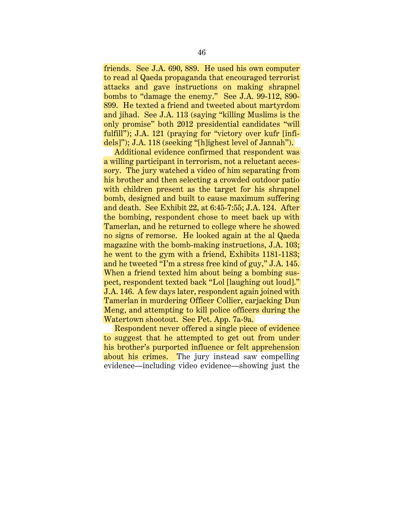friends. See J.A. 690, 889. He used his own computer to read al Qaeda propaganda that encouraged terrorist attacks and gave instructions on making shrapnel bombs to "damage the enemy." See J.A. 99-112, 890- 899. He texted a friend and tweeted about martyrdom and jihad. See J.A. 113 (saying "killing Muslims is the only promise" both 2012 presidential candidates "will fulfill"); J.A. 121 (praying for "victory over kufr [infidels]"); J.A. 118 (seeking "[h]ighest level of Jannah").

Additional evidence confirmed that respondent was a willing participant in terrorism, not a reluctant accessory. The jury watched a video of him separating from his brother and then selecting a crowded outdoor patio with children present as the target for his shrapnel bomb, designed and built to cause maximum suffering and death. See Exhibit 22, at 6:45-7:55; J.A. 124. After the bombing, respondent chose to meet back up with Tamerlan, and he returned to college where he showed no signs of remorse. He looked again at the al Qaeda magazine with the bomb-making instructions, J.A. 103; he went to the gym with a friend, Exhibits 1181-1183; and he tweeted "I'm a stress free kind of guy," J.A. 145. When a friend texted him about being a bombing suspect, respondent texted back "Lol [laughing out loud]." J.A. 146. A few days later, respondent again joined with Tamerlan in murdering Officer Collier, carjacking Dun Meng, and attempting to kill police officers during the Watertown shootout. See Pet. App. 7a-9a.

Respondent never offered a single piece of evidence to suggest that he attempted to get out from under his brother's purported influence or felt apprehension about his crimes. The jury instead saw compelling evidence—including video evidence—showing just the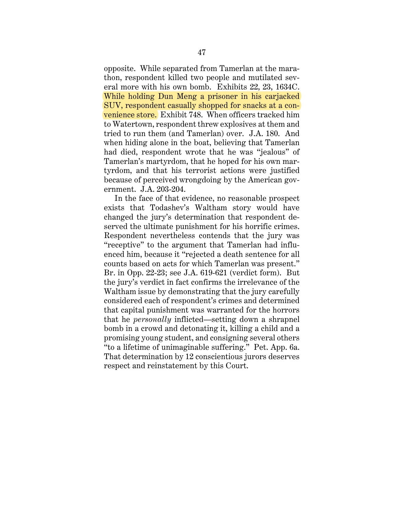opposite. While separated from Tamerlan at the marathon, respondent killed two people and mutilated several more with his own bomb. Exhibits 22, 23, 1634C. While holding Dun Meng a prisoner in his carjacked SUV, respondent casually shopped for snacks at a convenience store. Exhibit 748. When officers tracked him to Watertown, respondent threw explosives at them and tried to run them (and Tamerlan) over. J.A. 180. And when hiding alone in the boat, believing that Tamerlan had died, respondent wrote that he was "jealous" of Tamerlan's martyrdom, that he hoped for his own martyrdom, and that his terrorist actions were justified because of perceived wrongdoing by the American government. J.A. 203-204.

In the face of that evidence, no reasonable prospect exists that Todashev's Waltham story would have changed the jury's determination that respondent deserved the ultimate punishment for his horrific crimes. Respondent nevertheless contends that the jury was "receptive" to the argument that Tamerlan had influenced him, because it "rejected a death sentence for all counts based on acts for which Tamerlan was present." Br. in Opp. 22-23; see J.A. 619-621 (verdict form). But the jury's verdict in fact confirms the irrelevance of the Waltham issue by demonstrating that the jury carefully considered each of respondent's crimes and determined that capital punishment was warranted for the horrors that he *personally* inflicted—setting down a shrapnel bomb in a crowd and detonating it, killing a child and a promising young student, and consigning several others "to a lifetime of unimaginable suffering." Pet. App. 6a. That determination by 12 conscientious jurors deserves respect and reinstatement by this Court.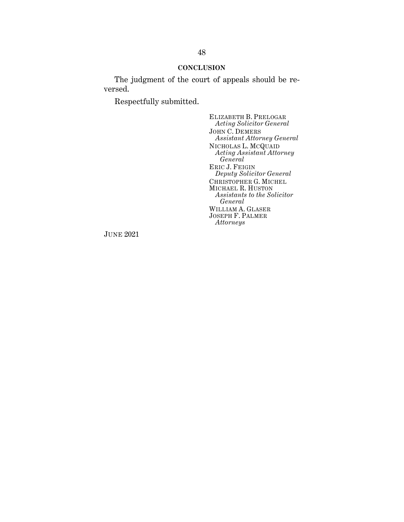## **CONCLUSION**

The judgment of the court of appeals should be reversed.

Respectfully submitted.

ELIZABETH B. PRELOGAR *Acting Solicitor General* JOHN C. DEMERS *Assistant Attorney General* NICHOLAS L. MCQUAID *Acting Assistant Attorney General* ERIC J. FEIGIN *Deputy Solicitor General* CHRISTOPHER G. MICHEL MICHAEL R. HUSTON *Assistants to the Solicitor General* WILLIAM A. GLASER JOSEPH F. PALMER *Attorneys*

JUNE 2021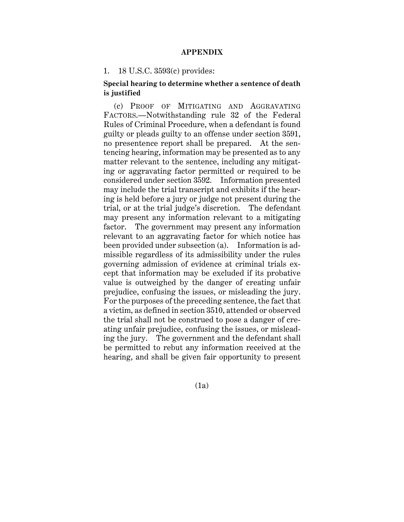## **APPENDIX**

#### 1. 18 U.S.C. 3593(c) provides:

# **Special hearing to determine whether a sentence of death is justified**

(c) PROOF OF MITIGATING AND AGGRAVATING FACTORS.—Notwithstanding rule 32 of the Federal Rules of Criminal Procedure, when a defendant is found guilty or pleads guilty to an offense under section 3591, no presentence report shall be prepared. At the sentencing hearing, information may be presented as to any matter relevant to the sentence, including any mitigating or aggravating factor permitted or required to be considered under section 3592. Information presented may include the trial transcript and exhibits if the hearing is held before a jury or judge not present during the trial, or at the trial judge's discretion. The defendant may present any information relevant to a mitigating factor. The government may present any information relevant to an aggravating factor for which notice has been provided under subsection (a). Information is admissible regardless of its admissibility under the rules governing admission of evidence at criminal trials except that information may be excluded if its probative value is outweighed by the danger of creating unfair prejudice, confusing the issues, or misleading the jury. For the purposes of the preceding sentence, the fact that a victim, as defined in section 3510, attended or observed the trial shall not be construed to pose a danger of creating unfair prejudice, confusing the issues, or misleading the jury. The government and the defendant shall be permitted to rebut any information received at the hearing, and shall be given fair opportunity to present

(1a)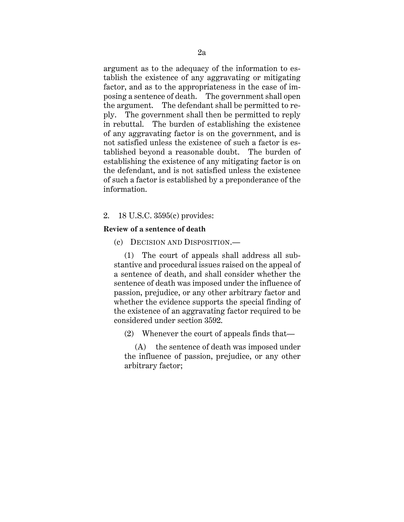argument as to the adequacy of the information to establish the existence of any aggravating or mitigating factor, and as to the appropriateness in the case of imposing a sentence of death. The government shall open the argument. The defendant shall be permitted to reply. The government shall then be permitted to reply in rebuttal. The burden of establishing the existence of any aggravating factor is on the government, and is not satisfied unless the existence of such a factor is established beyond a reasonable doubt. The burden of establishing the existence of any mitigating factor is on the defendant, and is not satisfied unless the existence of such a factor is established by a preponderance of the information.

# 2. 18 U.S.C. 3595(c) provides:

### **Review of a sentence of death**

(c) DECISION AND DISPOSITION.—

(1) The court of appeals shall address all substantive and procedural issues raised on the appeal of a sentence of death, and shall consider whether the sentence of death was imposed under the influence of passion, prejudice, or any other arbitrary factor and whether the evidence supports the special finding of the existence of an aggravating factor required to be considered under section 3592.

(2) Whenever the court of appeals finds that—

(A) the sentence of death was imposed under the influence of passion, prejudice, or any other arbitrary factor;